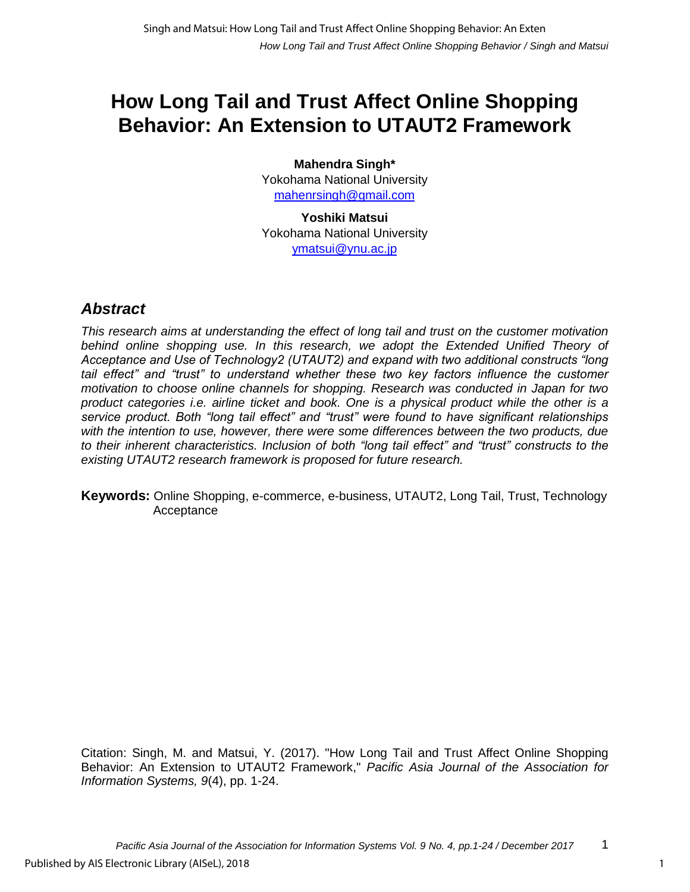# **How Long Tail and Trust Affect Online Shopping Behavior: An Extension to UTAUT2 Framework**

**Mahendra Singh\*** Yokohama National University mahenrsingh@gmail.com

**Yoshiki Matsui** Yokohama National University ymatsui@ynu.ac.jp

# *Abstract*

*This research aims at understanding the effect of long tail and trust on the customer motivation*  behind online shopping use. In this research, we adopt the Extended Unified Theory of *Acceptance and Use of Technology2 (UTAUT2) and expand with two additional constructs "long*  tail effect" and "trust" to understand whether these two key factors influence the customer *motivation to choose online channels for shopping. Research was conducted in Japan for two product categories i.e. airline ticket and book. One is a physical product while the other is a service product. Both "long tail effect" and "trust" were found to have significant relationships with the intention to use, however, there were some differences between the two products, due to their inherent characteristics. Inclusion of both "long tail effect" and "trust" constructs to the existing UTAUT2 research framework is proposed for future research.*

**Keywords:** Online Shopping, e-commerce, e-business, UTAUT2, Long Tail, Trust, Technology Acceptance

Citation: Singh, M. and Matsui, Y. (2017). "How Long Tail and Trust Affect Online Shopping Behavior: An Extension to UTAUT2 Framework," *Pacific Asia Journal of the Association for Information Systems, 9*(4), pp. 1-24.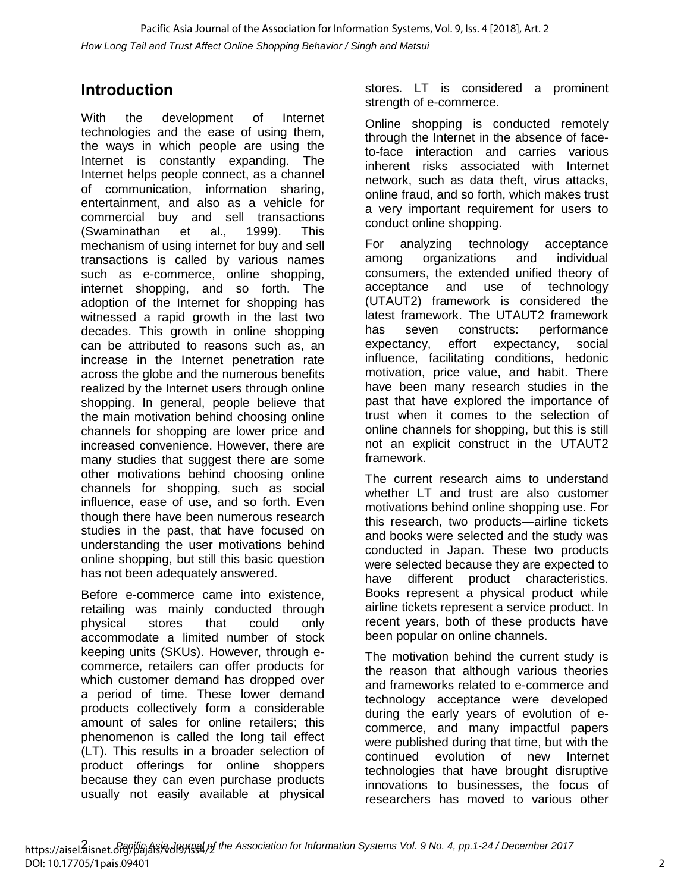# **Introduction**

With the development of Internet technologies and the ease of using them, the ways in which people are using the Internet is constantly expanding. The Internet helps people connect, as a channel of communication, information sharing, entertainment, and also as a vehicle for commercial buy and sell transactions (Swaminathan et al., 1999). This mechanism of using internet for buy and sell transactions is called by various names such as e-commerce, online shopping, internet shopping, and so forth. The adoption of the Internet for shopping has witnessed a rapid growth in the last two decades. This growth in online shopping can be attributed to reasons such as, an increase in the Internet penetration rate across the globe and the numerous benefits realized by the Internet users through online shopping. In general, people believe that the main motivation behind choosing online channels for shopping are lower price and increased convenience. However, there are many studies that suggest there are some other motivations behind choosing online channels for shopping, such as social influence, ease of use, and so forth. Even though there have been numerous research studies in the past, that have focused on understanding the user motivations behind online shopping, but still this basic question has not been adequately answered.

Before e-commerce came into existence, retailing was mainly conducted through physical stores that could only accommodate a limited number of stock keeping units (SKUs). However, through ecommerce, retailers can offer products for which customer demand has dropped over a period of time. These lower demand products collectively form a considerable amount of sales for online retailers; this phenomenon is called the long tail effect (LT). This results in a broader selection of product offerings for online shoppers because they can even purchase products usually not easily available at physical stores. LT is considered a prominent strength of e-commerce.

Online shopping is conducted remotely through the Internet in the absence of faceto-face interaction and carries various inherent risks associated with Internet network, such as data theft, virus attacks, online fraud, and so forth, which makes trust a very important requirement for users to conduct online shopping.

For analyzing technology acceptance among organizations and individual consumers, the extended unified theory of acceptance and use of technology (UTAUT2) framework is considered the latest framework. The UTAUT2 framework has seven constructs: performance expectancy, effort expectancy, social influence, facilitating conditions, hedonic motivation, price value, and habit. There have been many research studies in the past that have explored the importance of trust when it comes to the selection of online channels for shopping, but this is still not an explicit construct in the UTAUT2 framework.

The current research aims to understand whether LT and trust are also customer motivations behind online shopping use. For this research, two products—airline tickets and books were selected and the study was conducted in Japan. These two products were selected because they are expected to have different product characteristics. Books represent a physical product while airline tickets represent a service product. In recent years, both of these products have been popular on online channels.

The motivation behind the current study is the reason that although various theories and frameworks related to e-commerce and technology acceptance were developed during the early years of evolution of ecommerce, and many impactful papers were published during that time, but with the continued evolution of new Internet technologies that have brought disruptive innovations to businesses, the focus of researchers has moved to various other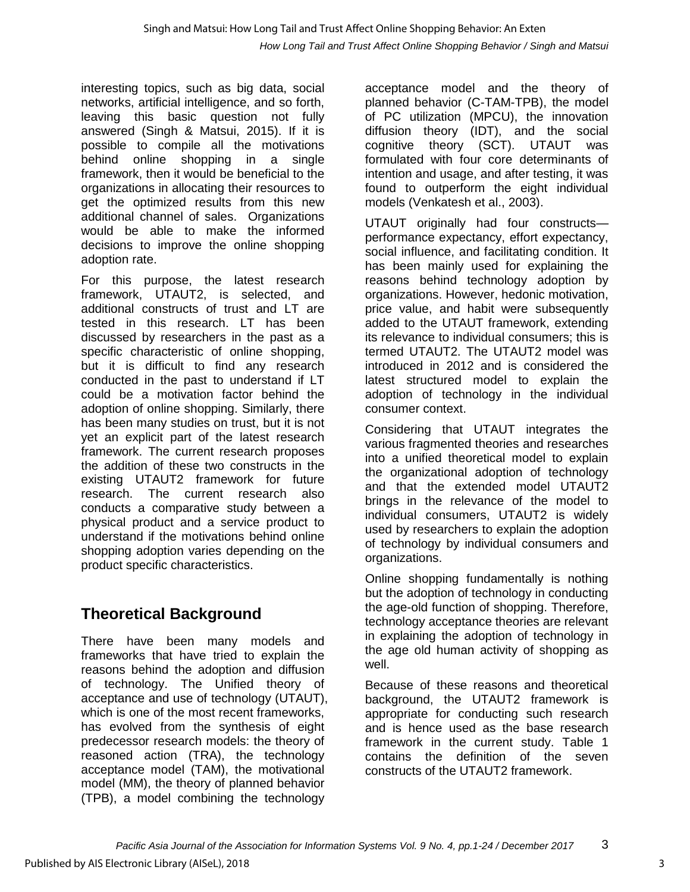interesting topics, such as big data, social networks, artificial intelligence, and so forth, leaving this basic question not fully answered (Singh & Matsui, 2015). If it is possible to compile all the motivations behind online shopping in a single framework, then it would be beneficial to the organizations in allocating their resources to get the optimized results from this new additional channel of sales. Organizations would be able to make the informed decisions to improve the online shopping adoption rate.

For this purpose, the latest research framework, UTAUT2, is selected, and additional constructs of trust and LT are tested in this research. LT has been discussed by researchers in the past as a specific characteristic of online shopping, but it is difficult to find any research conducted in the past to understand if LT could be a motivation factor behind the adoption of online shopping. Similarly, there has been many studies on trust, but it is not yet an explicit part of the latest research framework. The current research proposes the addition of these two constructs in the existing UTAUT2 framework for future research. The current research also conducts a comparative study between a physical product and a service product to understand if the motivations behind online shopping adoption varies depending on the product specific characteristics.

# **Theoretical Background**

There have been many models and frameworks that have tried to explain the reasons behind the adoption and diffusion of technology. The Unified theory of acceptance and use of technology (UTAUT), which is one of the most recent frameworks, has evolved from the synthesis of eight predecessor research models: the theory of reasoned action (TRA), the technology acceptance model (TAM), the motivational model (MM), the theory of planned behavior (TPB), a model combining the technology

acceptance model and the theory of planned behavior (C-TAM-TPB), the model of PC utilization (MPCU), the innovation diffusion theory (IDT), and the social cognitive theory (SCT). UTAUT was formulated with four core determinants of intention and usage, and after testing, it was found to outperform the eight individual models (Venkatesh et al., 2003).

UTAUT originally had four constructs performance expectancy, effort expectancy, social influence, and facilitating condition. It has been mainly used for explaining the reasons behind technology adoption by organizations. However, hedonic motivation, price value, and habit were subsequently added to the UTAUT framework, extending its relevance to individual consumers; this is termed UTAUT2. The UTAUT2 model was introduced in 2012 and is considered the latest structured model to explain the adoption of technology in the individual consumer context.

Considering that UTAUT integrates the various fragmented theories and researches into a unified theoretical model to explain the organizational adoption of technology and that the extended model UTAUT2 brings in the relevance of the model to individual consumers, UTAUT2 is widely used by researchers to explain the adoption of technology by individual consumers and organizations.

Online shopping fundamentally is nothing but the adoption of technology in conducting the age-old function of shopping. Therefore, technology acceptance theories are relevant in explaining the adoption of technology in the age old human activity of shopping as well.

Because of these reasons and theoretical background, the UTAUT2 framework is appropriate for conducting such research and is hence used as the base research framework in the current study. Table 1 contains the definition of the seven constructs of the UTAUT2 framework.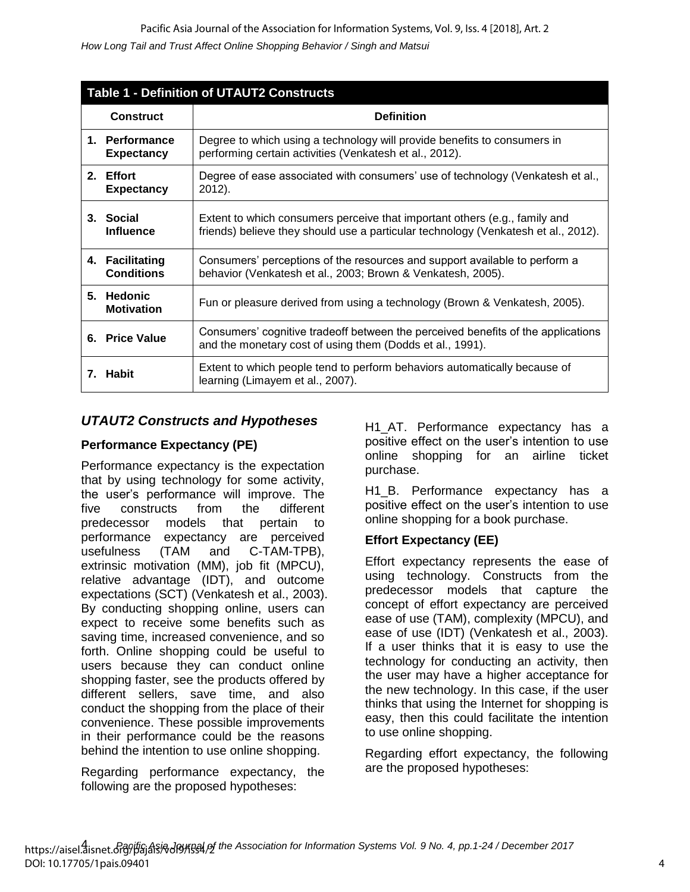| <b>Table 1 - Definition of UTAUT2 Constructs</b> |                                                                                                                                                                  |  |  |  |  |  |  |
|--------------------------------------------------|------------------------------------------------------------------------------------------------------------------------------------------------------------------|--|--|--|--|--|--|
| <b>Construct</b>                                 | <b>Definition</b>                                                                                                                                                |  |  |  |  |  |  |
| 1. Performance<br><b>Expectancy</b>              | Degree to which using a technology will provide benefits to consumers in<br>performing certain activities (Venkatesh et al., 2012).                              |  |  |  |  |  |  |
| 2. Effort<br><b>Expectancy</b>                   | Degree of ease associated with consumers' use of technology (Venkatesh et al.,<br>$2012$ ).                                                                      |  |  |  |  |  |  |
| 3. Social<br><b>Influence</b>                    | Extent to which consumers perceive that important others (e.g., family and<br>friends) believe they should use a particular technology (Venkatesh et al., 2012). |  |  |  |  |  |  |
| 4. Facilitating<br><b>Conditions</b>             | Consumers' perceptions of the resources and support available to perform a<br>behavior (Venkatesh et al., 2003; Brown & Venkatesh, 2005).                        |  |  |  |  |  |  |
| 5. Hedonic<br><b>Motivation</b>                  | Fun or pleasure derived from using a technology (Brown & Venkatesh, 2005).                                                                                       |  |  |  |  |  |  |
| 6. Price Value                                   | Consumers' cognitive tradeoff between the perceived benefits of the applications<br>and the monetary cost of using them (Dodds et al., 1991).                    |  |  |  |  |  |  |
| 7. Habit                                         | Extent to which people tend to perform behaviors automatically because of<br>learning (Limayem et al., 2007).                                                    |  |  |  |  |  |  |

### *UTAUT2 Constructs and Hypotheses*

### **Performance Expectancy (PE)**

Performance expectancy is the expectation that by using technology for some activity, the user's performance will improve. The five constructs from the different predecessor models that pertain to performance expectancy are perceived usefulness (TAM and C-TAM-TPB), extrinsic motivation (MM), job fit (MPCU), relative advantage (IDT), and outcome expectations (SCT) (Venkatesh et al., 2003). By conducting shopping online, users can expect to receive some benefits such as saving time, increased convenience, and so forth. Online shopping could be useful to users because they can conduct online shopping faster, see the products offered by different sellers, save time, and also conduct the shopping from the place of their convenience. These possible improvements in their performance could be the reasons behind the intention to use online shopping.

Regarding performance expectancy, the following are the proposed hypotheses:

H1 AT. Performance expectancy has a positive effect on the user's intention to use online shopping for an airline ticket purchase.

H1 B. Performance expectancy has a positive effect on the user's intention to use online shopping for a book purchase.

#### **Effort Expectancy (EE)**

Effort expectancy represents the ease of using technology. Constructs from the predecessor models that capture the concept of effort expectancy are perceived ease of use (TAM), complexity (MPCU), and ease of use (IDT) (Venkatesh et al., 2003). If a user thinks that it is easy to use the technology for conducting an activity, then the user may have a higher acceptance for the new technology. In this case, if the user thinks that using the Internet for shopping is easy, then this could facilitate the intention to use online shopping.

Regarding effort expectancy, the following are the proposed hypotheses: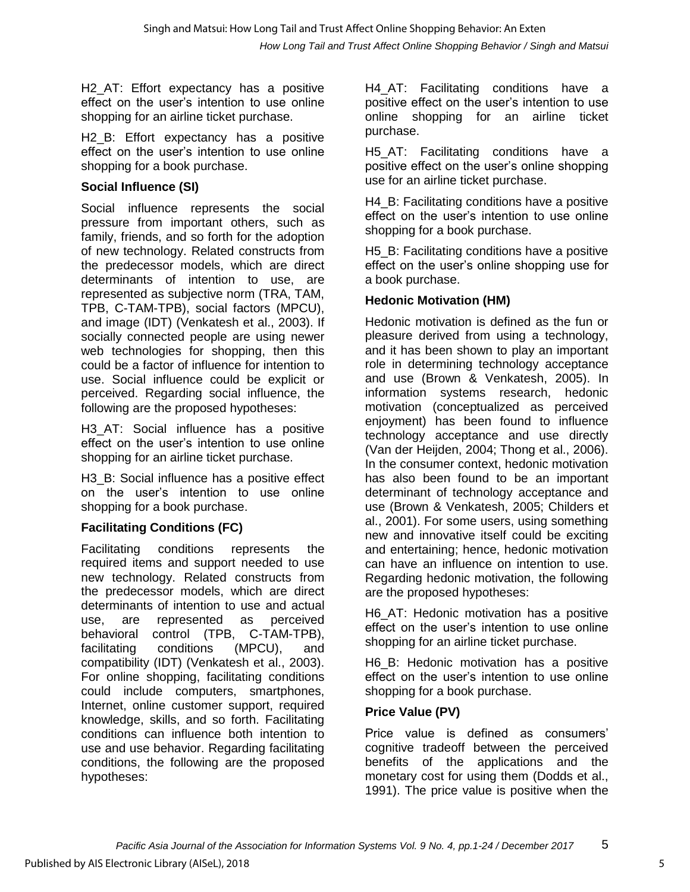H<sub>2</sub> AT: Effort expectancy has a positive effect on the user's intention to use online shopping for an airline ticket purchase.

H<sub>2</sub> B: Effort expectancy has a positive effect on the user's intention to use online shopping for a book purchase.

### **Social Influence (SI)**

Social influence represents the social pressure from important others, such as family, friends, and so forth for the adoption of new technology. Related constructs from the predecessor models, which are direct determinants of intention to use, are represented as subjective norm (TRA, TAM, TPB, C-TAM-TPB), social factors (MPCU), and image (IDT) (Venkatesh et al., 2003). If socially connected people are using newer web technologies for shopping, then this could be a factor of influence for intention to use. Social influence could be explicit or perceived. Regarding social influence, the following are the proposed hypotheses:

H3\_AT: Social influence has a positive effect on the user's intention to use online shopping for an airline ticket purchase.

H3 B: Social influence has a positive effect on the user's intention to use online shopping for a book purchase.

### **Facilitating Conditions (FC)**

Facilitating conditions represents the required items and support needed to use new technology. Related constructs from the predecessor models, which are direct determinants of intention to use and actual use, are represented as perceived behavioral control (TPB, C-TAM-TPB), facilitating conditions (MPCU), and compatibility (IDT) (Venkatesh et al., 2003). For online shopping, facilitating conditions could include computers, smartphones, Internet, online customer support, required knowledge, skills, and so forth. Facilitating conditions can influence both intention to use and use behavior. Regarding facilitating conditions, the following are the proposed hypotheses:

H4\_AT: Facilitating conditions have a positive effect on the user's intention to use online shopping for an airline ticket purchase.

H<sub>5</sub> AT: Facilitating conditions have a positive effect on the user's online shopping use for an airline ticket purchase.

H4\_B: Facilitating conditions have a positive effect on the user's intention to use online shopping for a book purchase.

H<sub>5</sub> B: Facilitating conditions have a positive effect on the user's online shopping use for a book purchase.

### **Hedonic Motivation (HM)**

Hedonic motivation is defined as the fun or pleasure derived from using a technology, and it has been shown to play an important role in determining technology acceptance and use (Brown & Venkatesh, 2005). In information systems research, hedonic motivation (conceptualized as perceived enjoyment) has been found to influence technology acceptance and use directly (Van der Heijden, 2004; Thong et al., 2006). In the consumer context, hedonic motivation has also been found to be an important determinant of technology acceptance and use (Brown & Venkatesh, 2005; Childers et al., 2001). For some users, using something new and innovative itself could be exciting and entertaining; hence, hedonic motivation can have an influence on intention to use. Regarding hedonic motivation, the following are the proposed hypotheses:

H6 AT: Hedonic motivation has a positive effect on the user's intention to use online shopping for an airline ticket purchase.

H6\_B: Hedonic motivation has a positive effect on the user's intention to use online shopping for a book purchase.

### **Price Value (PV)**

Price value is defined as consumers' cognitive tradeoff between the perceived benefits of the applications and the monetary cost for using them (Dodds et al., 1991). The price value is positive when the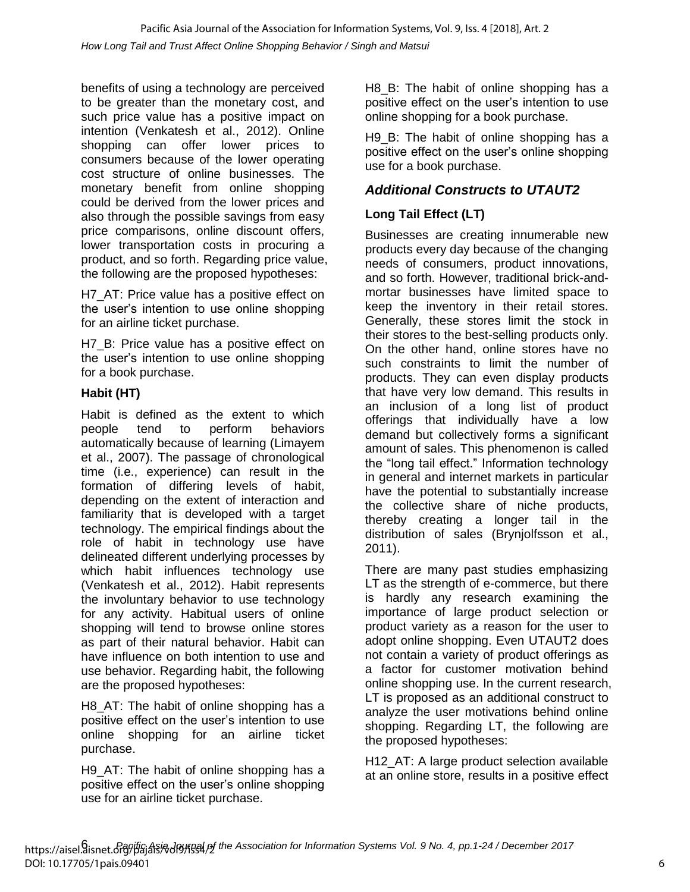benefits of using a technology are perceived to be greater than the monetary cost, and such price value has a positive impact on intention (Venkatesh et al., 2012). Online shopping can offer lower prices to consumers because of the lower operating cost structure of online businesses. The monetary benefit from online shopping could be derived from the lower prices and also through the possible savings from easy price comparisons, online discount offers, lower transportation costs in procuring a product, and so forth. Regarding price value, the following are the proposed hypotheses:

H7 AT: Price value has a positive effect on the user's intention to use online shopping for an airline ticket purchase.

H7 B: Price value has a positive effect on the user's intention to use online shopping for a book purchase.

### **Habit (HT)**

Habit is defined as the extent to which people tend to perform behaviors automatically because of learning (Limayem et al., 2007). The passage of chronological time (i.e., experience) can result in the formation of differing levels of habit, depending on the extent of interaction and familiarity that is developed with a target technology. The empirical findings about the role of habit in technology use have delineated different underlying processes by which habit influences technology use (Venkatesh et al., 2012). Habit represents the involuntary behavior to use technology for any activity. Habitual users of online shopping will tend to browse online stores as part of their natural behavior. Habit can have influence on both intention to use and use behavior. Regarding habit, the following are the proposed hypotheses:

H8 AT: The habit of online shopping has a positive effect on the user's intention to use online shopping for an airline ticket purchase.

H9\_AT: The habit of online shopping has a positive effect on the user's online shopping use for an airline ticket purchase.

H8 B: The habit of online shopping has a positive effect on the user's intention to use online shopping for a book purchase.

H9 B: The habit of online shopping has a positive effect on the user's online shopping use for a book purchase.

### *Additional Constructs to UTAUT2*

### **Long Tail Effect (LT)**

Businesses are creating innumerable new products every day because of the changing needs of consumers, product innovations, and so forth. However, traditional brick-andmortar businesses have limited space to keep the inventory in their retail stores. Generally, these stores limit the stock in their stores to the best-selling products only. On the other hand, online stores have no such constraints to limit the number of products. They can even display products that have very low demand. This results in an inclusion of a long list of product offerings that individually have a low demand but collectively forms a significant amount of sales. This phenomenon is called the "long tail effect." Information technology in general and internet markets in particular have the potential to substantially increase the collective share of niche products, thereby creating a longer tail in the distribution of sales (Brynjolfsson et al., 2011).

There are many past studies emphasizing LT as the strength of e-commerce, but there is hardly any research examining the importance of large product selection or product variety as a reason for the user to adopt online shopping. Even UTAUT2 does not contain a variety of product offerings as a factor for customer motivation behind online shopping use. In the current research, LT is proposed as an additional construct to analyze the user motivations behind online shopping. Regarding LT, the following are the proposed hypotheses:

H12\_AT: A large product selection available at an online store, results in a positive effect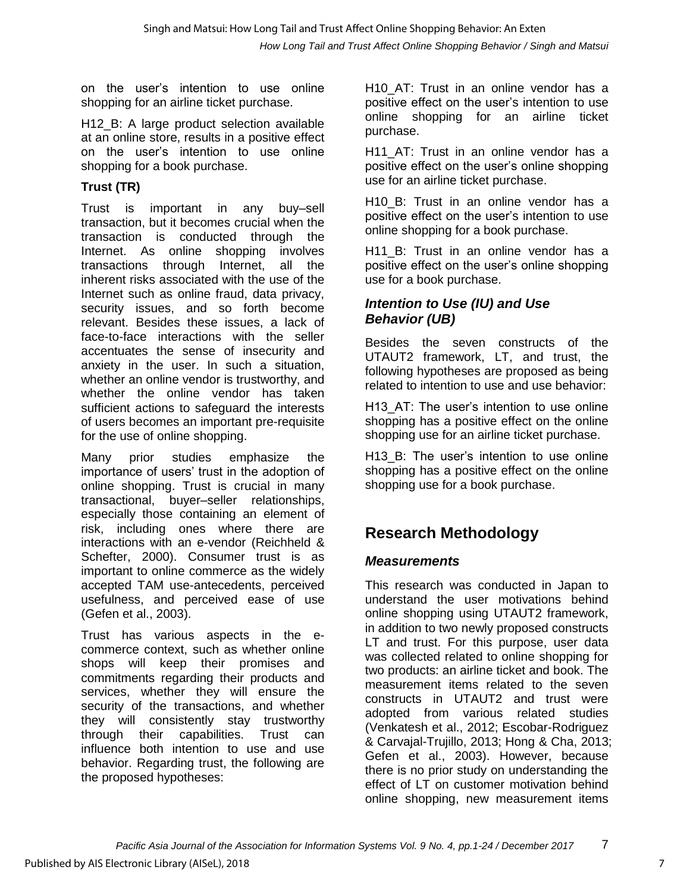on the user's intention to use online shopping for an airline ticket purchase.

H12\_B: A large product selection available at an online store, results in a positive effect on the user's intention to use online shopping for a book purchase.

## **Trust (TR)**

Trust is important in any buy–sell transaction, but it becomes crucial when the transaction is conducted through the Internet. As online shopping involves transactions through Internet, all the inherent risks associated with the use of the Internet such as online fraud, data privacy, security issues, and so forth become relevant. Besides these issues, a lack of face-to-face interactions with the seller accentuates the sense of insecurity and anxiety in the user. In such a situation, whether an online vendor is trustworthy, and whether the online vendor has taken sufficient actions to safeguard the interests of users becomes an important pre-requisite for the use of online shopping.

Many prior studies emphasize the importance of users' trust in the adoption of online shopping. Trust is crucial in many transactional, buyer–seller relationships, especially those containing an element of risk, including ones where there are interactions with an e-vendor (Reichheld & Schefter, 2000). Consumer trust is as important to online commerce as the widely accepted TAM use-antecedents, perceived usefulness, and perceived ease of use (Gefen et al., 2003).

Trust has various aspects in the ecommerce context, such as whether online shops will keep their promises and commitments regarding their products and services, whether they will ensure the security of the transactions, and whether they will consistently stay trustworthy through their capabilities. Trust can influence both intention to use and use behavior. Regarding trust, the following are the proposed hypotheses:

H10 AT: Trust in an online vendor has a positive effect on the user's intention to use online shopping for an airline ticket purchase.

H<sub>11</sub> AT: Trust in an online vendor has a positive effect on the user's online shopping use for an airline ticket purchase.

H10 B: Trust in an online vendor has a positive effect on the user's intention to use online shopping for a book purchase.

H11 B: Trust in an online vendor has a positive effect on the user's online shopping use for a book purchase.

### *Intention to Use (IU) and Use Behavior (UB)*

Besides the seven constructs of the UTAUT2 framework, LT, and trust, the following hypotheses are proposed as being related to intention to use and use behavior:

H13 AT: The user's intention to use online shopping has a positive effect on the online shopping use for an airline ticket purchase.

H13 B: The user's intention to use online shopping has a positive effect on the online shopping use for a book purchase.

# **Research Methodology**

### *Measurements*

This research was conducted in Japan to understand the user motivations behind online shopping using UTAUT2 framework, in addition to two newly proposed constructs LT and trust. For this purpose, user data was collected related to online shopping for two products: an airline ticket and book. The measurement items related to the seven constructs in UTAUT2 and trust were adopted from various related studies (Venkatesh et al., 2012; Escobar-Rodriguez & Carvajal-Trujillo, 2013; Hong & Cha, 2013; Gefen et al., 2003). However, because there is no prior study on understanding the effect of LT on customer motivation behind online shopping, new measurement items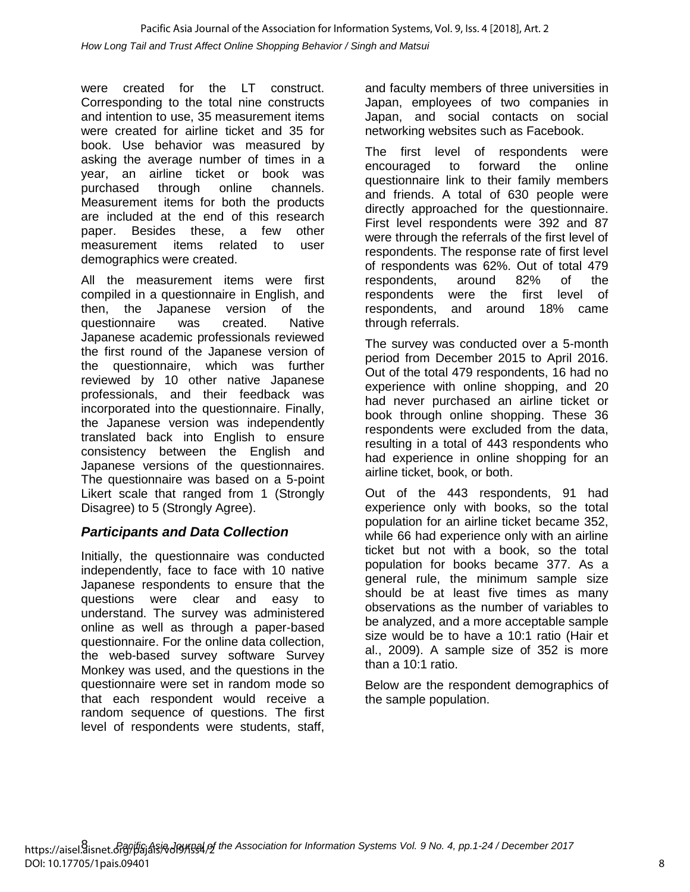were created for the LT construct. Corresponding to the total nine constructs and intention to use, 35 measurement items were created for airline ticket and 35 for book. Use behavior was measured by asking the average number of times in a year, an airline ticket or book was purchased through online channels. Measurement items for both the products are included at the end of this research paper. Besides these, a few other measurement items related to user demographics were created.

All the measurement items were first compiled in a questionnaire in English, and then, the Japanese version of the questionnaire was created. Native Japanese academic professionals reviewed the first round of the Japanese version of the questionnaire, which was further reviewed by 10 other native Japanese professionals, and their feedback was incorporated into the questionnaire. Finally, the Japanese version was independently translated back into English to ensure consistency between the English and Japanese versions of the questionnaires. The questionnaire was based on a 5-point Likert scale that ranged from 1 (Strongly Disagree) to 5 (Strongly Agree).

### *Participants and Data Collection*

Initially, the questionnaire was conducted independently, face to face with 10 native Japanese respondents to ensure that the questions were clear and easy to understand. The survey was administered online as well as through a paper-based questionnaire. For the online data collection, the web-based survey software Survey Monkey was used, and the questions in the questionnaire were set in random mode so that each respondent would receive a random sequence of questions. The first level of respondents were students, staff,

and faculty members of three universities in Japan, employees of two companies in Japan, and social contacts on social networking websites such as Facebook.

The first level of respondents were encouraged to forward the online questionnaire link to their family members and friends. A total of 630 people were directly approached for the questionnaire. First level respondents were 392 and 87 were through the referrals of the first level of respondents. The response rate of first level of respondents was 62%. Out of total 479 respondents, around 82% of the respondents were the first level of respondents, and around 18% came through referrals.

The survey was conducted over a 5-month period from December 2015 to April 2016. Out of the total 479 respondents, 16 had no experience with online shopping, and 20 had never purchased an airline ticket or book through online shopping. These 36 respondents were excluded from the data, resulting in a total of 443 respondents who had experience in online shopping for an airline ticket, book, or both.

Out of the 443 respondents, 91 had experience only with books, so the total population for an airline ticket became 352, while 66 had experience only with an airline ticket but not with a book, so the total population for books became 377. As a general rule, the minimum sample size should be at least five times as many observations as the number of variables to be analyzed, and a more acceptable sample size would be to have a 10:1 ratio (Hair et al., 2009). A sample size of 352 is more than a 10:1 ratio.

Below are the respondent demographics of the sample population.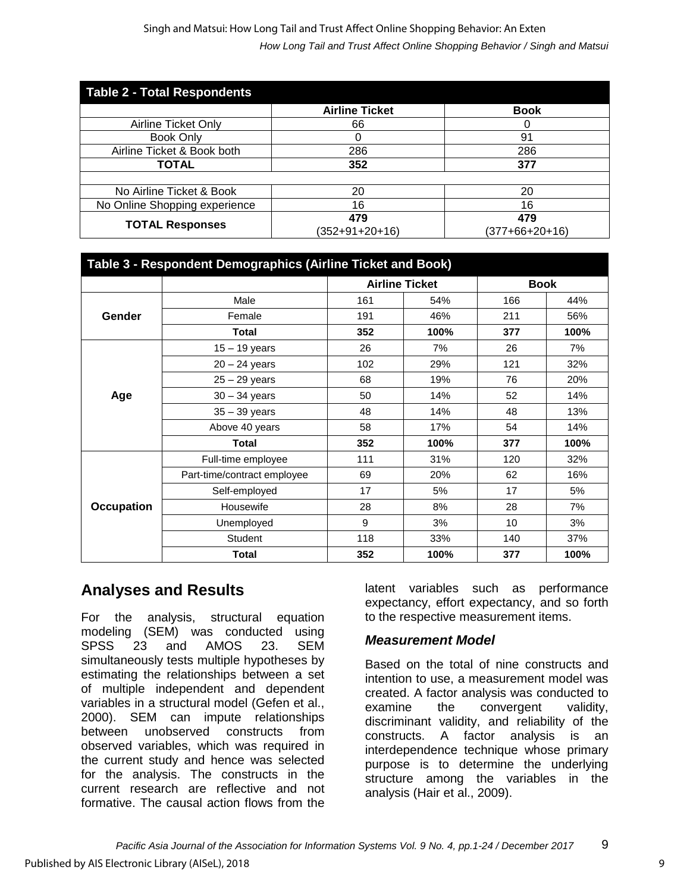#### *How Long Tail and Trust Affect Online Shopping Behavior / Singh and Matsui* Singh and Matsui: How Long Tail and Trust Affect Online Shopping Behavior: An Exten

| <b>Table 2 - Total Respondents</b> |                         |                         |  |  |  |  |  |  |
|------------------------------------|-------------------------|-------------------------|--|--|--|--|--|--|
|                                    | <b>Airline Ticket</b>   | <b>Book</b>             |  |  |  |  |  |  |
| Airline Ticket Only                | 66                      |                         |  |  |  |  |  |  |
| <b>Book Only</b>                   |                         | 91                      |  |  |  |  |  |  |
| Airline Ticket & Book both         | 286                     | 286                     |  |  |  |  |  |  |
| <b>TOTAL</b>                       | 352                     | 377                     |  |  |  |  |  |  |
|                                    |                         |                         |  |  |  |  |  |  |
| No Airline Ticket & Book           | 20                      | 20                      |  |  |  |  |  |  |
| No Online Shopping experience      | 16                      | 16                      |  |  |  |  |  |  |
| <b>TOTAL Responses</b>             | 479<br>$(352+91+20+16)$ | 479<br>$(377+66+20+16)$ |  |  |  |  |  |  |

| Table 3 - Respondent Demographics (Airline Ticket and Book) |                             |     |                       |             |      |  |  |  |
|-------------------------------------------------------------|-----------------------------|-----|-----------------------|-------------|------|--|--|--|
|                                                             |                             |     | <b>Airline Ticket</b> | <b>Book</b> |      |  |  |  |
|                                                             | Male                        | 161 | 54%                   | 166         | 44%  |  |  |  |
| Gender                                                      | Female                      | 191 | 46%                   | 211         | 56%  |  |  |  |
|                                                             | <b>Total</b>                | 352 | 100%                  | 377         | 100% |  |  |  |
|                                                             | $15 - 19$ years             | 26  | 7%                    | 26          | 7%   |  |  |  |
|                                                             | $20 - 24$ years             | 102 | 29%                   | 121         | 32%  |  |  |  |
|                                                             | $25 - 29$ years             | 68  | 19%                   | 76          | 20%  |  |  |  |
| Age                                                         | $30 - 34$ years             | 50  | 14%                   | 52          | 14%  |  |  |  |
|                                                             | $35 - 39$ years             | 48  | 14%                   | 48          | 13%  |  |  |  |
|                                                             | Above 40 years              | 58  | 17%                   | 54          | 14%  |  |  |  |
|                                                             | Total                       | 352 | 100%                  | 377         | 100% |  |  |  |
|                                                             | Full-time employee          | 111 | 31%                   | 120         | 32%  |  |  |  |
|                                                             | Part-time/contract employee | 69  | 20%                   | 62          | 16%  |  |  |  |
|                                                             | Self-employed               | 17  | 5%                    | 17          | 5%   |  |  |  |
| <b>Occupation</b>                                           | Housewife                   | 28  | 8%                    | 28          | 7%   |  |  |  |
|                                                             | Unemployed                  | 9   | 3%                    | 10          | 3%   |  |  |  |
|                                                             | <b>Student</b>              | 118 | 33%                   | 140         | 37%  |  |  |  |
|                                                             | <b>Total</b>                | 352 | 100%                  | 377         | 100% |  |  |  |

# **Analyses and Results**

For the analysis, structural equation modeling (SEM) was conducted using SPSS 23 and AMOS 23. SEM simultaneously tests multiple hypotheses by estimating the relationships between a set of multiple independent and dependent variables in a structural model (Gefen et al., 2000). SEM can impute relationships between unobserved constructs from observed variables, which was required in the current study and hence was selected for the analysis. The constructs in the current research are reflective and not formative. The causal action flows from the

latent variables such as performance expectancy, effort expectancy, and so forth to the respective measurement items.

### *Measurement Model*

Based on the total of nine constructs and intention to use, a measurement model was created. A factor analysis was conducted to examine the convergent validity, discriminant validity, and reliability of the constructs. A factor analysis is an interdependence technique whose primary purpose is to determine the underlying structure among the variables in the analysis (Hair et al., 2009).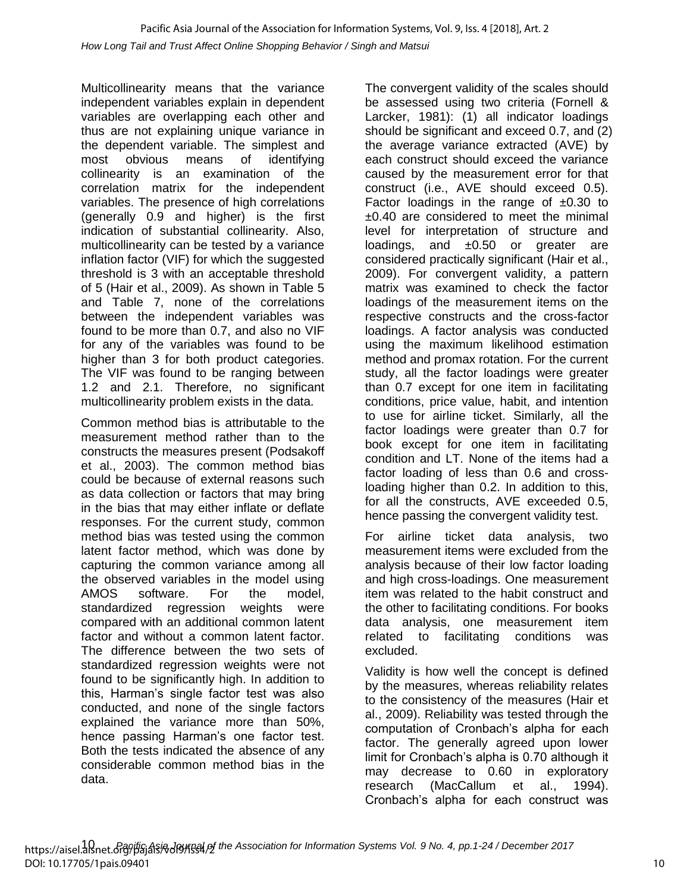Multicollinearity means that the variance independent variables explain in dependent variables are overlapping each other and thus are not explaining unique variance in the dependent variable. The simplest and most obvious means of identifying collinearity is an examination of the correlation matrix for the independent variables. The presence of high correlations (generally 0.9 and higher) is the first indication of substantial collinearity. Also, multicollinearity can be tested by a variance inflation factor (VIF) for which the suggested threshold is 3 with an acceptable threshold of 5 (Hair et al., 2009). As shown in Table 5 and Table 7, none of the correlations between the independent variables was found to be more than 0.7, and also no VIF for any of the variables was found to be higher than 3 for both product categories. The VIF was found to be ranging between 1.2 and 2.1. Therefore, no significant multicollinearity problem exists in the data.

Common method bias is attributable to the measurement method rather than to the constructs the measures present (Podsakoff et al., 2003). The common method bias could be because of external reasons such as data collection or factors that may bring in the bias that may either inflate or deflate responses. For the current study, common method bias was tested using the common latent factor method, which was done by capturing the common variance among all the observed variables in the model using AMOS software. For the model, standardized regression weights were compared with an additional common latent factor and without a common latent factor. The difference between the two sets of standardized regression weights were not found to be significantly high. In addition to this, Harman's single factor test was also conducted, and none of the single factors explained the variance more than 50%, hence passing Harman's one factor test. Both the tests indicated the absence of any considerable common method bias in the data.

The convergent validity of the scales should be assessed using two criteria (Fornell & Larcker, 1981): (1) all indicator loadings should be significant and exceed 0.7, and (2) the average variance extracted (AVE) by each construct should exceed the variance caused by the measurement error for that construct (i.e., AVE should exceed 0.5). Factor loadings in the range of  $\pm 0.30$  to ±0.40 are considered to meet the minimal level for interpretation of structure and loadings, and  $\pm 0.50$  or greater are considered practically significant (Hair et al., 2009). For convergent validity, a pattern matrix was examined to check the factor loadings of the measurement items on the respective constructs and the cross-factor loadings. A factor analysis was conducted using the maximum likelihood estimation method and promax rotation. For the current study, all the factor loadings were greater than 0.7 except for one item in facilitating conditions, price value, habit, and intention to use for airline ticket. Similarly, all the factor loadings were greater than 0.7 for book except for one item in facilitating condition and LT. None of the items had a factor loading of less than 0.6 and crossloading higher than 0.2. In addition to this, for all the constructs, AVE exceeded 0.5, hence passing the convergent validity test.

For airline ticket data analysis, two measurement items were excluded from the analysis because of their low factor loading and high cross-loadings. One measurement item was related to the habit construct and the other to facilitating conditions. For books data analysis, one measurement item related to facilitating conditions was excluded.

Validity is how well the concept is defined by the measures, whereas reliability relates to the consistency of the measures (Hair et al., 2009). Reliability was tested through the computation of Cronbach's alpha for each factor. The generally agreed upon lower limit for Cronbach's alpha is 0.70 although it may decrease to 0.60 in exploratory research (MacCallum et al., 1994). Cronbach's alpha for each construct was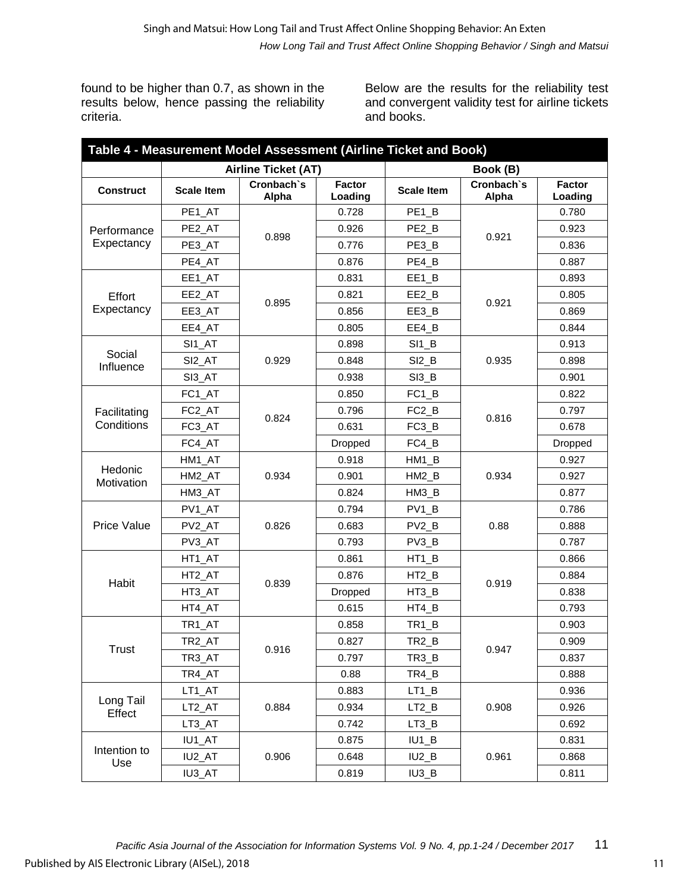found to be higher than 0.7, as shown in the results below, hence passing the reliability criteria.

Below are the results for the reliability test and convergent validity test for airline tickets and books.

| Table 4 - Measurement Model Assessment (Airline Ticket and Book) |                    |                            |                          |                                 |                     |                          |  |  |  |  |
|------------------------------------------------------------------|--------------------|----------------------------|--------------------------|---------------------------------|---------------------|--------------------------|--|--|--|--|
|                                                                  |                    | <b>Airline Ticket (AT)</b> |                          |                                 | Book (B)            |                          |  |  |  |  |
| <b>Construct</b>                                                 | <b>Scale Item</b>  | Cronbach's<br>Alpha        | <b>Factor</b><br>Loading | <b>Scale Item</b>               | Cronbach's<br>Alpha | <b>Factor</b><br>Loading |  |  |  |  |
|                                                                  | PE1_AT             |                            | 0.728                    | PE <sub>1_B</sub>               |                     | 0.780                    |  |  |  |  |
| Performance                                                      | PE2_AT             | 0.898                      | 0.926                    | PE <sub>2_B</sub>               | 0.921               | 0.923                    |  |  |  |  |
| Expectancy                                                       | PE3_AT             |                            | 0.776                    | PE3_B                           |                     | 0.836                    |  |  |  |  |
|                                                                  | PE4_AT             |                            | 0.876                    | PE4_B                           |                     | 0.887                    |  |  |  |  |
|                                                                  | EE1_AT             |                            | 0.831                    | EE1_B                           |                     | 0.893                    |  |  |  |  |
| Effort                                                           | EE2_AT             |                            | 0.821                    | EE2_B                           | 0.921               | 0.805                    |  |  |  |  |
| Expectancy                                                       | EE3_AT             | 0.895                      | 0.856                    | EE3_B                           |                     | 0.869                    |  |  |  |  |
|                                                                  | EE4_AT             |                            | 0.805                    | EE4_B                           |                     | 0.844                    |  |  |  |  |
|                                                                  | SI1_AT             |                            | 0.898                    | $SI1$ <sub>_</sub> B            |                     | 0.913                    |  |  |  |  |
| Social<br>Influence                                              | SI <sub>2_AT</sub> | 0.929                      | 0.848                    | $SI2$ _ $B$                     | 0.935               | 0.898                    |  |  |  |  |
|                                                                  | SI3_AT             |                            | 0.938                    | $SI3$ <sub>B</sub>              |                     | 0.901                    |  |  |  |  |
|                                                                  | FC1_AT             |                            | 0.850                    | $FC1$ <sub>_</sub> B            |                     | 0.822                    |  |  |  |  |
| Facilitating                                                     | FC <sub>2_AT</sub> | 0.824                      | 0.796                    | FC <sub>2_B</sub>               | 0.816               | 0.797                    |  |  |  |  |
| Conditions                                                       | FC3_AT             |                            | 0.631                    | FC <sub>3_B</sub>               |                     | 0.678                    |  |  |  |  |
|                                                                  | FC4_AT             |                            | Dropped                  | FC4_B                           |                     | Dropped                  |  |  |  |  |
|                                                                  | HM1_AT             | 0.934                      | 0.918                    | HM1_B                           | 0.934               | 0.927                    |  |  |  |  |
| Hedonic<br>Motivation                                            | HM2_AT             |                            | 0.901                    | HM2_B                           |                     | 0.927                    |  |  |  |  |
|                                                                  | HM3_AT             |                            | 0.824                    | HM3_B                           |                     | 0.877                    |  |  |  |  |
|                                                                  | PV1_AT             |                            | 0.794                    | $PV1_B$                         | 0.88                | 0.786                    |  |  |  |  |
| <b>Price Value</b>                                               | PV <sub>2_AT</sub> | 0.826                      | 0.683                    | $PV2_B$                         |                     | 0.888                    |  |  |  |  |
|                                                                  | PV3_AT             |                            | 0.793                    | $PV3$ <sub>B</sub>              |                     | 0.787                    |  |  |  |  |
|                                                                  | HT1_AT             |                            | 0.861                    | HT1_B                           | 0.919               | 0.866                    |  |  |  |  |
|                                                                  | HT2_AT             |                            | 0.876                    | HT2_B                           |                     | 0.884                    |  |  |  |  |
| Habit                                                            | HT3_AT             | 0.839                      | Dropped                  | HT3_B                           |                     | 0.838                    |  |  |  |  |
|                                                                  | HT4_AT             |                            | 0.615                    | HT4_B                           |                     | 0.793                    |  |  |  |  |
|                                                                  | TR1_AT             |                            | 0.858                    | TR <sub>1_B</sub>               |                     | 0.903                    |  |  |  |  |
|                                                                  | TR <sub>2</sub> AT |                            | 0.827                    | TR <sub>2_</sub> B              |                     | 0.909                    |  |  |  |  |
| Trust                                                            | TR3_AT             | 0.916                      | 0.797                    | TR3_B                           | 0.947               | 0.837                    |  |  |  |  |
|                                                                  | TR4_AT             |                            | 0.88                     | TR4_B                           |                     | 0.888                    |  |  |  |  |
|                                                                  | LT1_AT             |                            | 0.883                    | $LT1_B$                         |                     | 0.936                    |  |  |  |  |
| Long Tail<br>Effect                                              | LT2_AT             | 0.884                      | 0.934                    | $LT2_B$                         | 0.908               | 0.926                    |  |  |  |  |
|                                                                  | LT3_AT             |                            | 0.742                    | $LT3_B$                         |                     | 0.692                    |  |  |  |  |
|                                                                  | IU1_AT             |                            | 0.875                    | $IU1$ <sub><math>B</math></sub> |                     | 0.831                    |  |  |  |  |
| Intention to                                                     | IU2_AT             | 0.906                      | 0.648                    | $IU2_B$                         | 0.961               | 0.868                    |  |  |  |  |
| Use                                                              | IU3_AT             |                            | 0.819                    | $IU3$ <sub>_</sub> B            |                     | 0.811                    |  |  |  |  |
|                                                                  |                    |                            |                          |                                 |                     |                          |  |  |  |  |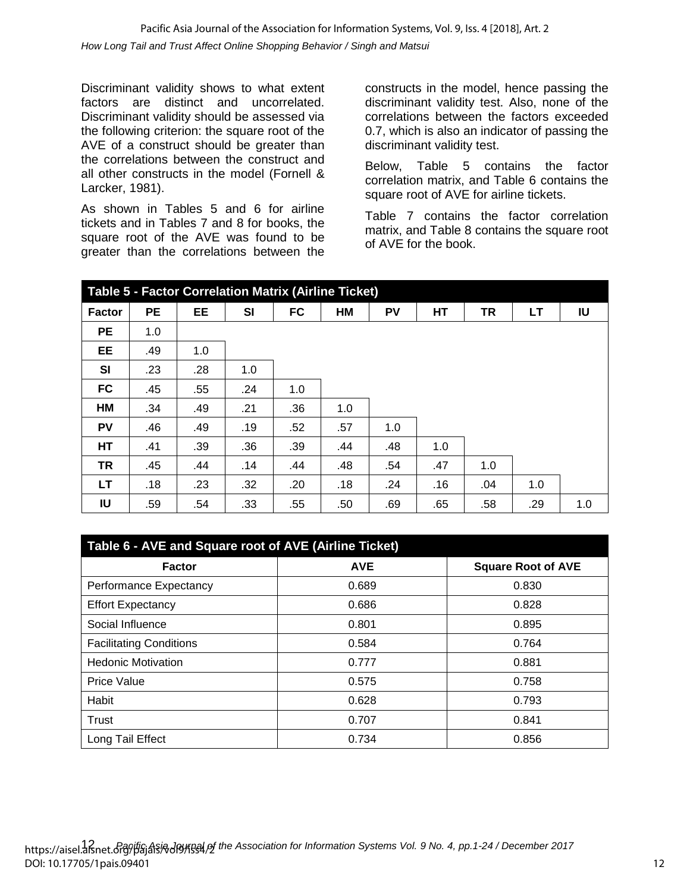Discriminant validity shows to what extent factors are distinct and uncorrelated. Discriminant validity should be assessed via the following criterion: the square root of the AVE of a construct should be greater than the correlations between the construct and all other constructs in the model (Fornell & Larcker, 1981).

As shown in Tables 5 and 6 for airline tickets and in Tables 7 and 8 for books, the square root of the AVE was found to be greater than the correlations between the constructs in the model, hence passing the discriminant validity test. Also, none of the correlations between the factors exceeded 0.7, which is also an indicator of passing the discriminant validity test.

Below, Table 5 contains the factor correlation matrix, and Table 6 contains the square root of AVE for airline tickets.

Table 7 contains the factor correlation matrix, and Table 8 contains the square root of AVE for the book.

| <b>Table 5 - Factor Correlation Matrix (Airline Ticket)</b> |           |     |           |           |     |     |     |     |     |     |
|-------------------------------------------------------------|-----------|-----|-----------|-----------|-----|-----|-----|-----|-----|-----|
| <b>Factor</b>                                               | <b>PE</b> | EE  | <b>SI</b> | <b>FC</b> | HM  | PV  | HТ  | TR  | LT  | IU  |
| <b>PE</b>                                                   | 1.0       |     |           |           |     |     |     |     |     |     |
| <b>EE</b>                                                   | .49       | 1.0 |           |           |     |     |     |     |     |     |
| SI                                                          | .23       | .28 | 1.0       |           |     |     |     |     |     |     |
| <b>FC</b>                                                   | .45       | .55 | .24       | 1.0       |     |     |     |     |     |     |
| HM                                                          | .34       | .49 | .21       | .36       | 1.0 |     |     |     |     |     |
| <b>PV</b>                                                   | .46       | .49 | .19       | .52       | .57 | 1.0 |     |     |     |     |
| <b>HT</b>                                                   | .41       | .39 | .36       | .39       | .44 | .48 | 1.0 |     |     |     |
| <b>TR</b>                                                   | .45       | .44 | .14       | .44       | .48 | .54 | .47 | 1.0 |     |     |
| LT.                                                         | .18       | .23 | .32       | .20       | .18 | .24 | .16 | .04 | 1.0 |     |
| IU                                                          | .59       | .54 | .33       | .55       | .50 | .69 | .65 | .58 | .29 | 1.0 |

| Table 6 - AVE and Square root of AVE (Airline Ticket) |            |                           |  |  |  |  |  |  |
|-------------------------------------------------------|------------|---------------------------|--|--|--|--|--|--|
| <b>Factor</b>                                         | <b>AVE</b> | <b>Square Root of AVE</b> |  |  |  |  |  |  |
| Performance Expectancy                                | 0.689      | 0.830                     |  |  |  |  |  |  |
| <b>Effort Expectancy</b>                              | 0.686      | 0.828                     |  |  |  |  |  |  |
| Social Influence                                      | 0.801      | 0.895                     |  |  |  |  |  |  |
| <b>Facilitating Conditions</b>                        | 0.584      | 0.764                     |  |  |  |  |  |  |
| <b>Hedonic Motivation</b>                             | 0.777      | 0.881                     |  |  |  |  |  |  |
| <b>Price Value</b>                                    | 0.575      | 0.758                     |  |  |  |  |  |  |
| Habit                                                 | 0.628      | 0.793                     |  |  |  |  |  |  |
| Trust                                                 | 0.707      | 0.841                     |  |  |  |  |  |  |
| Long Tail Effect                                      | 0.734      | 0.856                     |  |  |  |  |  |  |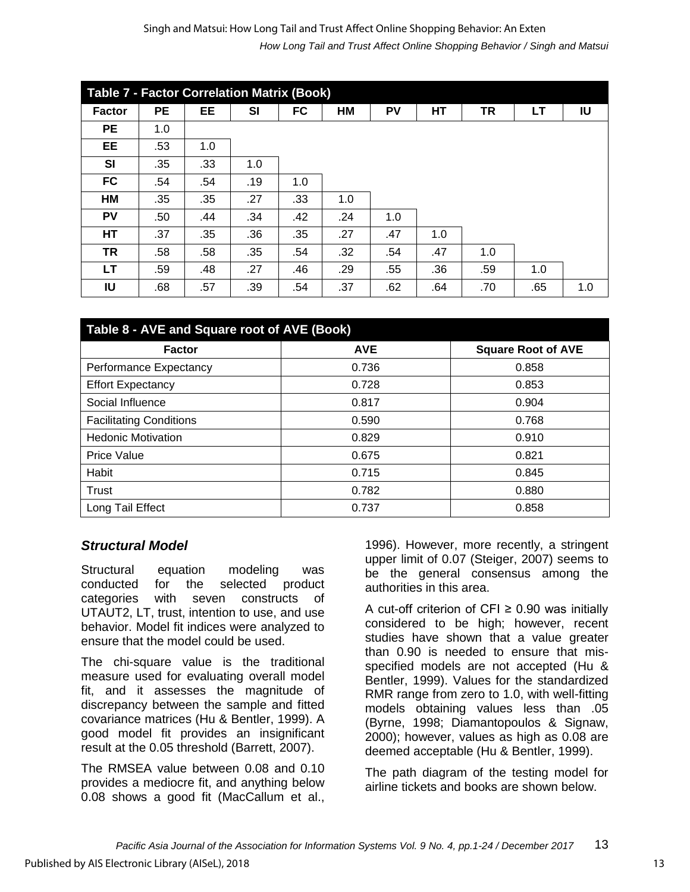#### *How Long Tail and Trust Affect Online Shopping Behavior / Singh and Matsui* Singh and Matsui: How Long Tail and Trust Affect Online Shopping Behavior: An Exten

| <b>Table 7 - Factor Correlation Matrix (Book)</b> |     |     |     |     |     |     |     |     |     |     |
|---------------------------------------------------|-----|-----|-----|-----|-----|-----|-----|-----|-----|-----|
| <b>Factor</b>                                     | PE  | EE  | SI  | FC  | HM  | PV  | HТ  | ΤR  | LT  | IU  |
| PE                                                | 1.0 |     |     |     |     |     |     |     |     |     |
| EE                                                | .53 | 1.0 |     |     |     |     |     |     |     |     |
| <b>SI</b>                                         | .35 | .33 | 1.0 |     |     |     |     |     |     |     |
| <b>FC</b>                                         | .54 | .54 | .19 | 1.0 |     |     |     |     |     |     |
| HM                                                | .35 | .35 | .27 | .33 | 1.0 |     |     |     |     |     |
| PV                                                | .50 | .44 | .34 | .42 | .24 | 1.0 |     |     |     |     |
| <b>HT</b>                                         | .37 | .35 | .36 | .35 | .27 | .47 | 1.0 |     |     |     |
| TR                                                | .58 | .58 | .35 | .54 | .32 | .54 | .47 | 1.0 |     |     |
| LT.                                               | .59 | .48 | .27 | .46 | .29 | .55 | .36 | .59 | 1.0 |     |
| IU                                                | .68 | .57 | .39 | .54 | .37 | .62 | .64 | .70 | .65 | 1.0 |

| Table 8 - AVE and Square root of AVE (Book) |            |                           |  |  |  |  |  |
|---------------------------------------------|------------|---------------------------|--|--|--|--|--|
| <b>Factor</b>                               | <b>AVE</b> | <b>Square Root of AVE</b> |  |  |  |  |  |
| Performance Expectancy                      | 0.736      | 0.858                     |  |  |  |  |  |
| <b>Effort Expectancy</b>                    | 0.728      | 0.853                     |  |  |  |  |  |
| Social Influence                            | 0.817      | 0.904                     |  |  |  |  |  |
| <b>Facilitating Conditions</b>              | 0.590      | 0.768                     |  |  |  |  |  |
| <b>Hedonic Motivation</b>                   | 0.829      | 0.910                     |  |  |  |  |  |
| <b>Price Value</b>                          | 0.675      | 0.821                     |  |  |  |  |  |
| Habit                                       | 0.715      | 0.845                     |  |  |  |  |  |
| Trust                                       | 0.782      | 0.880                     |  |  |  |  |  |
| Long Tail Effect                            | 0.737      | 0.858                     |  |  |  |  |  |

#### *Structural Model*

Structural equation modeling was conducted for the selected product categories with seven constructs of UTAUT2, LT, trust, intention to use, and use behavior. Model fit indices were analyzed to ensure that the model could be used.

The chi-square value is the traditional measure used for evaluating overall model fit, and it assesses the magnitude of discrepancy between the sample and fitted covariance matrices (Hu & Bentler, 1999). A good model fit provides an insignificant result at the 0.05 threshold (Barrett, 2007).

The RMSEA value between 0.08 and 0.10 provides a mediocre fit, and anything below 0.08 shows a good fit (MacCallum et al.,

1996). However, more recently, a stringent upper limit of 0.07 (Steiger, 2007) seems to be the general consensus among the authorities in this area.

A cut-off criterion of CFI ≥ 0.90 was initially considered to be high; however, recent studies have shown that a value greater than 0.90 is needed to ensure that misspecified models are not accepted (Hu & Bentler, 1999). Values for the standardized RMR range from zero to 1.0, with well-fitting models obtaining values less than .05 (Byrne, 1998; Diamantopoulos & Signaw, 2000); however, values as high as 0.08 are deemed acceptable (Hu & Bentler, 1999).

The path diagram of the testing model for airline tickets and books are shown below.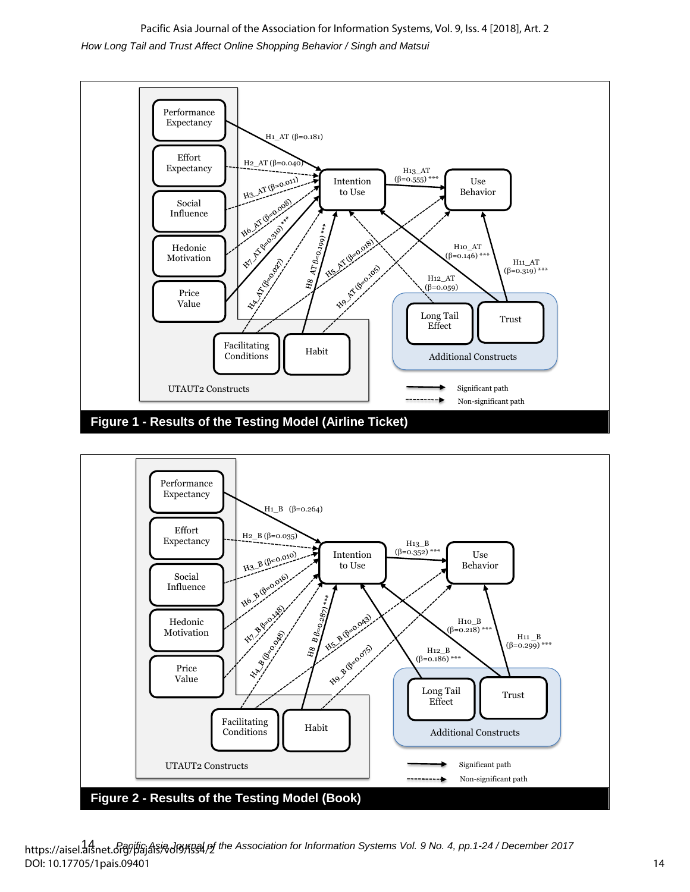*How Long Tail and Trust Affect Online Shopping Behavior / Singh and Matsui* Pacific Asia Journal of the Association for Information Systems, Vol. 9, Iss. 4 [2018], Art. 2





https://aisel.aisnet.org/pajais/wol9/lss4/of the Association for Information Systems Vol. 9 No. 4, pp.1-24 / December 2017 DOI: 10.17705/1pais.09401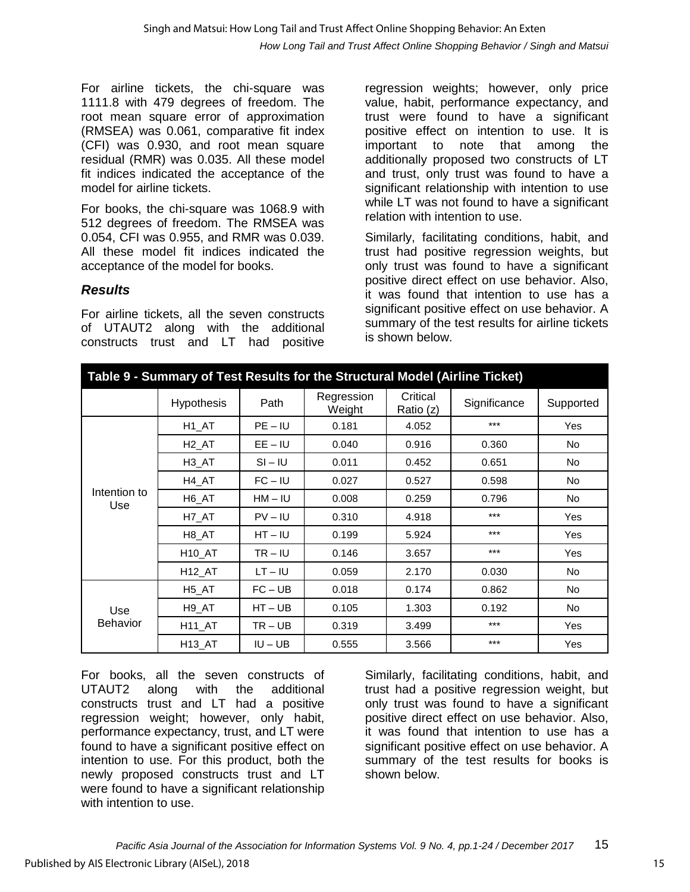For airline tickets, the chi-square was 1111.8 with 479 degrees of freedom. The root mean square error of approximation (RMSEA) was 0.061, comparative fit index (CFI) was 0.930, and root mean square residual (RMR) was 0.035. All these model fit indices indicated the acceptance of the model for airline tickets.

For books, the chi-square was 1068.9 with 512 degrees of freedom. The RMSEA was 0.054, CFI was 0.955, and RMR was 0.039. All these model fit indices indicated the acceptance of the model for books.

### *Results*

For airline tickets, all the seven constructs of UTAUT2 along with the additional constructs trust and LT had positive regression weights; however, only price value, habit, performance expectancy, and trust were found to have a significant positive effect on intention to use. It is important to note that among the additionally proposed two constructs of LT and trust, only trust was found to have a significant relationship with intention to use while LT was not found to have a significant relation with intention to use.

Similarly, facilitating conditions, habit, and trust had positive regression weights, but only trust was found to have a significant positive direct effect on use behavior. Also, it was found that intention to use has a significant positive effect on use behavior. A summary of the test results for airline tickets is shown below.

| Table 9 - Summary of Test Results for the Structural Model (Airline Ticket) |                       |           |                      |                       |              |           |  |  |  |
|-----------------------------------------------------------------------------|-----------------------|-----------|----------------------|-----------------------|--------------|-----------|--|--|--|
|                                                                             | <b>Hypothesis</b>     | Path      | Regression<br>Weight | Critical<br>Ratio (z) | Significance | Supported |  |  |  |
|                                                                             | H1_AT                 | $PE - IU$ | 0.181                | 4.052                 | ***          | Yes       |  |  |  |
|                                                                             | H <sub>2_AT</sub>     | $EE - IU$ | 0.040                | 0.916                 | 0.360        | No        |  |  |  |
|                                                                             | H <sub>3</sub> _AT    | $SI - IU$ | 0.011                | 0.452                 | 0.651        | No        |  |  |  |
|                                                                             | H4_AT                 | $FC - IU$ | 0.027                | 0.527                 | 0.598        | No        |  |  |  |
| Intention to<br>Use                                                         | H <sub>6</sub> _AT    | $HM - IU$ | 0.008                | 0.259                 | 0.796        | No        |  |  |  |
|                                                                             | H7_AT                 | $PV - IU$ | 0.310                | 4.918                 | $***$        | Yes       |  |  |  |
|                                                                             | H8 AT                 | $HT - IU$ | 0.199                | 5.924                 | $***$        | Yes       |  |  |  |
|                                                                             | H <sub>10_AT</sub>    | $TR - IU$ | 0.146                | 3.657                 | $***$        | Yes       |  |  |  |
|                                                                             | $H12$ <sub>_AT</sub>  | $LT - IU$ | 0.059                | 2.170                 | 0.030        | No        |  |  |  |
|                                                                             | H <sub>5</sub> _AT    | FC – UB   | 0.018                | 0.174                 | 0.862        | No        |  |  |  |
| Use                                                                         | H <sub>9</sub> _AT    | $HT - UB$ | 0.105                | 1.303                 | 0.192        | No        |  |  |  |
| <b>Behavior</b>                                                             | $H11$ <sub>_</sub> AT | $TR - UB$ | 0.319                | 3.499                 | $***$        | Yes       |  |  |  |
|                                                                             | H13_AT                | $IU - UB$ | 0.555                | 3.566                 | $***$        | Yes       |  |  |  |

For books, all the seven constructs of UTAUT2 along with the additional constructs trust and LT had a positive regression weight; however, only habit, performance expectancy, trust, and LT were found to have a significant positive effect on intention to use. For this product, both the newly proposed constructs trust and LT were found to have a significant relationship with intention to use.

Similarly, facilitating conditions, habit, and trust had a positive regression weight, but only trust was found to have a significant positive direct effect on use behavior. Also, it was found that intention to use has a significant positive effect on use behavior. A summary of the test results for books is shown below.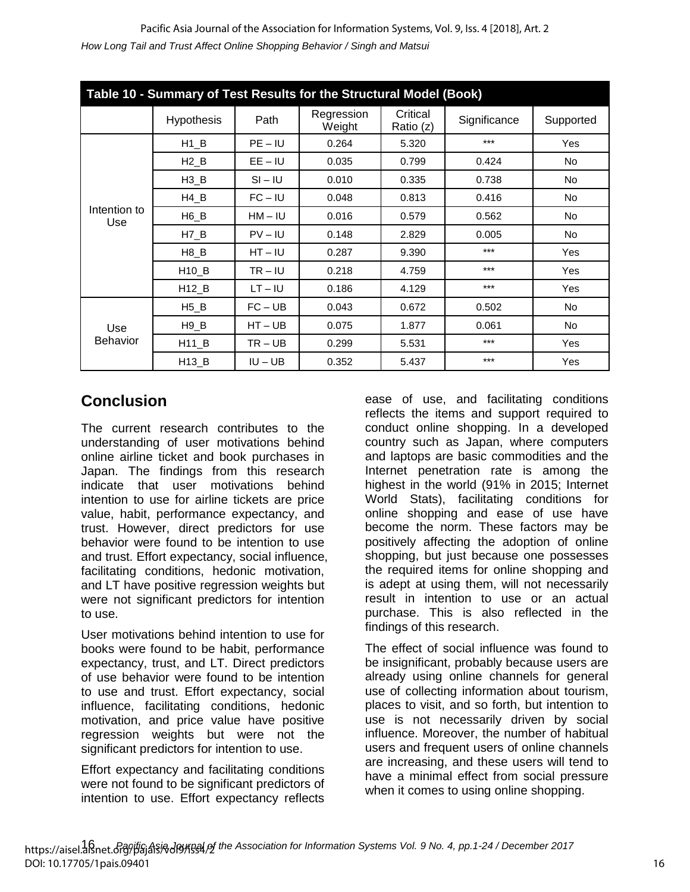| Table 10 - Summary of Test Results for the Structural Model (Book) |                      |           |                      |                       |              |           |  |  |  |
|--------------------------------------------------------------------|----------------------|-----------|----------------------|-----------------------|--------------|-----------|--|--|--|
|                                                                    | <b>Hypothesis</b>    | Path      | Regression<br>Weight | Critical<br>Ratio (z) | Significance | Supported |  |  |  |
|                                                                    | $H1$ <sub>_</sub> B  | $PE - IU$ | 0.264                | 5.320                 | $***$        | Yes       |  |  |  |
|                                                                    | $H2$ <sub>-B</sub>   | $EE - IU$ | 0.035                | 0.799                 | 0.424        | No        |  |  |  |
|                                                                    | $H3$ <sub>B</sub>    | $SI - IU$ | 0.010                | 0.335                 | 0.738        | No.       |  |  |  |
|                                                                    | $H4$ <sub>-B</sub>   | $FC - IU$ | 0.048                | 0.813                 | 0.416        | No        |  |  |  |
| Intention to<br>Use                                                | $H6$ <sub>B</sub>    | $HM - IU$ | 0.016                | 0.579                 | 0.562        | No        |  |  |  |
|                                                                    | $H7$ <sub>-B</sub>   | $PV - IU$ | 0.148                | 2.829                 | 0.005        | No        |  |  |  |
|                                                                    | $H8$ <sub>-B</sub>   | $HT - IU$ | 0.287                | 9.390                 | $***$        | Yes       |  |  |  |
|                                                                    | H <sub>10</sub> B    | $TR - IU$ | 0.218                | 4.759                 | $***$        | Yes       |  |  |  |
|                                                                    | H12_B                | $LT - IU$ | 0.186                | 4.129                 | $***$        | Yes       |  |  |  |
|                                                                    | $H5$ <sub>B</sub>    | FC – UB   | 0.043                | 0.672                 | 0.502        | No        |  |  |  |
| Use                                                                | $H9$ <sub>-B</sub>   | $HT - UB$ | 0.075                | 1.877                 | 0.061        | No        |  |  |  |
| <b>Behavior</b>                                                    | $H11$ <sub>_</sub> B | $TR - UB$ | 0.299                | 5.531                 | ***          | Yes       |  |  |  |
|                                                                    | H13_B                | $IU - UB$ | 0.352                | 5.437                 | $***$        | Yes       |  |  |  |

# **Conclusion**

The current research contributes to the understanding of user motivations behind online airline ticket and book purchases in Japan. The findings from this research indicate that user motivations behind intention to use for airline tickets are price value, habit, performance expectancy, and trust. However, direct predictors for use behavior were found to be intention to use and trust. Effort expectancy, social influence, facilitating conditions, hedonic motivation, and LT have positive regression weights but were not significant predictors for intention to use.

User motivations behind intention to use for books were found to be habit, performance expectancy, trust, and LT. Direct predictors of use behavior were found to be intention to use and trust. Effort expectancy, social influence, facilitating conditions, hedonic motivation, and price value have positive regression weights but were not the significant predictors for intention to use.

Effort expectancy and facilitating conditions were not found to be significant predictors of intention to use. Effort expectancy reflects

ease of use, and facilitating conditions reflects the items and support required to conduct online shopping. In a developed country such as Japan, where computers and laptops are basic commodities and the Internet penetration rate is among the highest in the world (91% in 2015; Internet World Stats), facilitating conditions for online shopping and ease of use have become the norm. These factors may be positively affecting the adoption of online shopping, but just because one possesses the required items for online shopping and is adept at using them, will not necessarily result in intention to use or an actual purchase. This is also reflected in the findings of this research.

The effect of social influence was found to be insignificant, probably because users are already using online channels for general use of collecting information about tourism, places to visit, and so forth, but intention to use is not necessarily driven by social influence. Moreover, the number of habitual users and frequent users of online channels are increasing, and these users will tend to have a minimal effect from social pressure when it comes to using online shopping.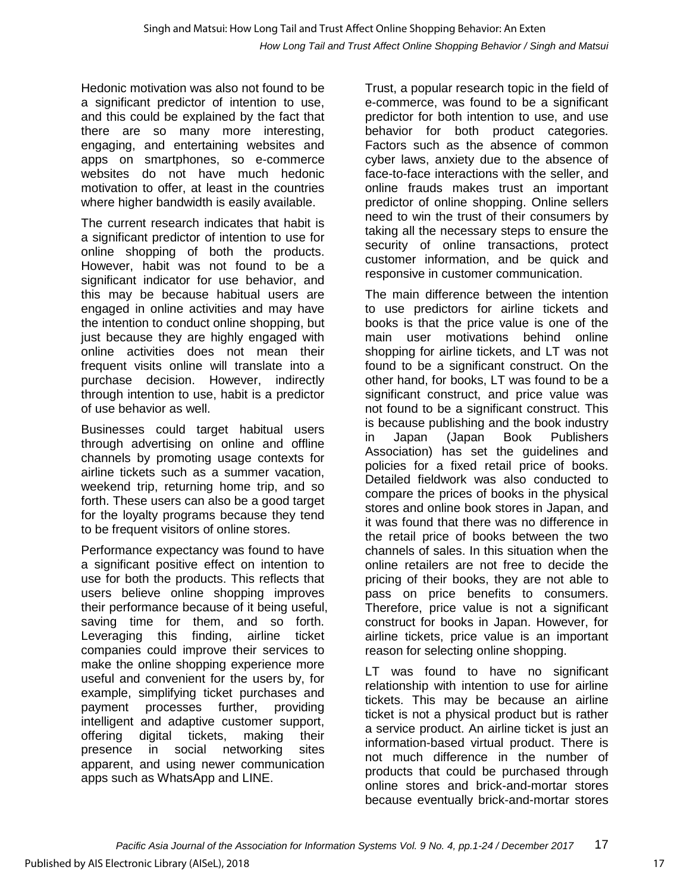Hedonic motivation was also not found to be a significant predictor of intention to use, and this could be explained by the fact that there are so many more interesting, engaging, and entertaining websites and apps on smartphones, so e-commerce websites do not have much hedonic motivation to offer, at least in the countries where higher bandwidth is easily available.

The current research indicates that habit is a significant predictor of intention to use for online shopping of both the products. However, habit was not found to be a significant indicator for use behavior, and this may be because habitual users are engaged in online activities and may have the intention to conduct online shopping, but just because they are highly engaged with online activities does not mean their frequent visits online will translate into a purchase decision. However, indirectly through intention to use, habit is a predictor of use behavior as well.

Businesses could target habitual users through advertising on online and offline channels by promoting usage contexts for airline tickets such as a summer vacation, weekend trip, returning home trip, and so forth. These users can also be a good target for the loyalty programs because they tend to be frequent visitors of online stores.

Performance expectancy was found to have a significant positive effect on intention to use for both the products. This reflects that users believe online shopping improves their performance because of it being useful, saving time for them, and so forth. Leveraging this finding, airline ticket companies could improve their services to make the online shopping experience more useful and convenient for the users by, for example, simplifying ticket purchases and payment processes further, providing intelligent and adaptive customer support, offering digital tickets, making their presence in social networking sites apparent, and using newer communication apps such as WhatsApp and LINE.

Trust, a popular research topic in the field of e-commerce, was found to be a significant predictor for both intention to use, and use behavior for both product categories. Factors such as the absence of common cyber laws, anxiety due to the absence of face-to-face interactions with the seller, and online frauds makes trust an important predictor of online shopping. Online sellers need to win the trust of their consumers by taking all the necessary steps to ensure the security of online transactions, protect customer information, and be quick and responsive in customer communication.

The main difference between the intention to use predictors for airline tickets and books is that the price value is one of the main user motivations behind online shopping for airline tickets, and LT was not found to be a significant construct. On the other hand, for books, LT was found to be a significant construct, and price value was not found to be a significant construct. This is because publishing and the book industry in Japan (Japan Book Publishers Association) has set the guidelines and policies for a fixed retail price of books. Detailed fieldwork was also conducted to compare the prices of books in the physical stores and online book stores in Japan, and it was found that there was no difference in the retail price of books between the two channels of sales. In this situation when the online retailers are not free to decide the pricing of their books, they are not able to pass on price benefits to consumers. Therefore, price value is not a significant construct for books in Japan. However, for airline tickets, price value is an important reason for selecting online shopping.

LT was found to have no significant relationship with intention to use for airline tickets. This may be because an airline ticket is not a physical product but is rather a service product. An airline ticket is just an information-based virtual product. There is not much difference in the number of products that could be purchased through online stores and brick-and-mortar stores because eventually brick-and-mortar stores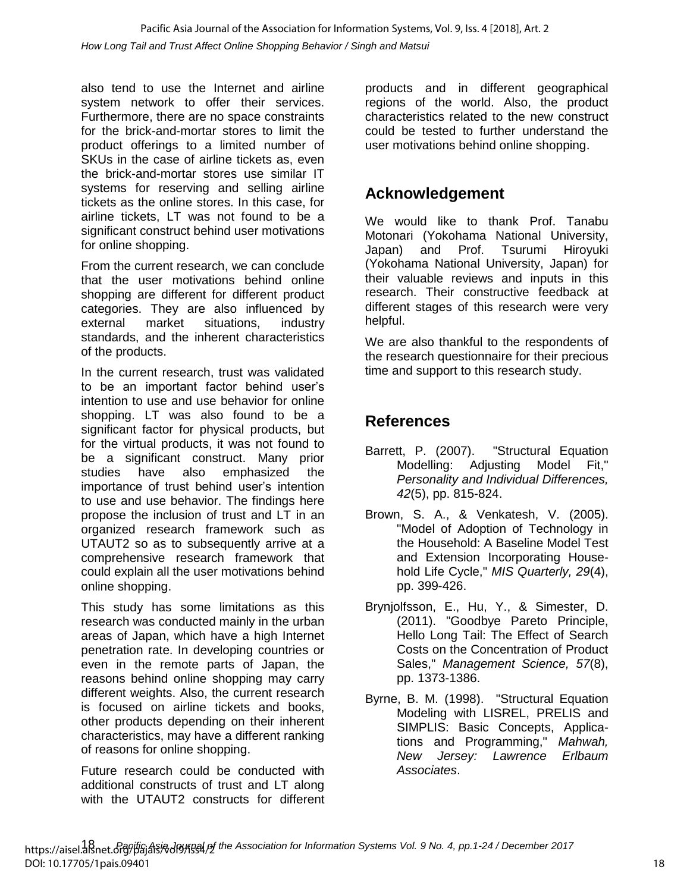also tend to use the Internet and airline system network to offer their services. Furthermore, there are no space constraints for the brick-and-mortar stores to limit the product offerings to a limited number of SKUs in the case of airline tickets as, even the brick-and-mortar stores use similar IT systems for reserving and selling airline tickets as the online stores. In this case, for airline tickets, LT was not found to be a significant construct behind user motivations for online shopping.

From the current research, we can conclude that the user motivations behind online shopping are different for different product categories. They are also influenced by external market situations, industry standards, and the inherent characteristics of the products.

In the current research, trust was validated to be an important factor behind user's intention to use and use behavior for online shopping. LT was also found to be a significant factor for physical products, but for the virtual products, it was not found to be a significant construct. Many prior studies have also emphasized the importance of trust behind user's intention to use and use behavior. The findings here propose the inclusion of trust and LT in an organized research framework such as UTAUT2 so as to subsequently arrive at a comprehensive research framework that could explain all the user motivations behind online shopping.

This study has some limitations as this research was conducted mainly in the urban areas of Japan, which have a high Internet penetration rate. In developing countries or even in the remote parts of Japan, the reasons behind online shopping may carry different weights. Also, the current research is focused on airline tickets and books, other products depending on their inherent characteristics, may have a different ranking of reasons for online shopping.

Future research could be conducted with additional constructs of trust and LT along with the UTAUT2 constructs for different products and in different geographical regions of the world. Also, the product characteristics related to the new construct could be tested to further understand the user motivations behind online shopping.

# **Acknowledgement**

We would like to thank Prof. Tanabu Motonari (Yokohama National University, Japan) and Prof. Tsurumi Hiroyuki (Yokohama National University, Japan) for their valuable reviews and inputs in this research. Their constructive feedback at different stages of this research were very helpful.

We are also thankful to the respondents of the research questionnaire for their precious time and support to this research study.

# **References**

- Barrett, P. (2007). "Structural Equation Modelling: Adjusting Model Fit," *Personality and Individual Differences, 42*(5), pp. 815-824.
- Brown, S. A., & Venkatesh, V. (2005). "Model of Adoption of Technology in the Household: A Baseline Model Test and Extension Incorporating Household Life Cycle," *MIS Quarterly, 29*(4), pp. 399-426.
- Brynjolfsson, E., Hu, Y., & Simester, D. (2011). "Goodbye Pareto Principle, Hello Long Tail: The Effect of Search Costs on the Concentration of Product Sales," *Management Science, 57*(8), pp. 1373-1386.
- Byrne, B. M. (1998). "Structural Equation Modeling with LISREL, PRELIS and SIMPLIS: Basic Concepts, Applications and Programming," *Mahwah, New Jersey: Lawrence Erlbaum Associates*.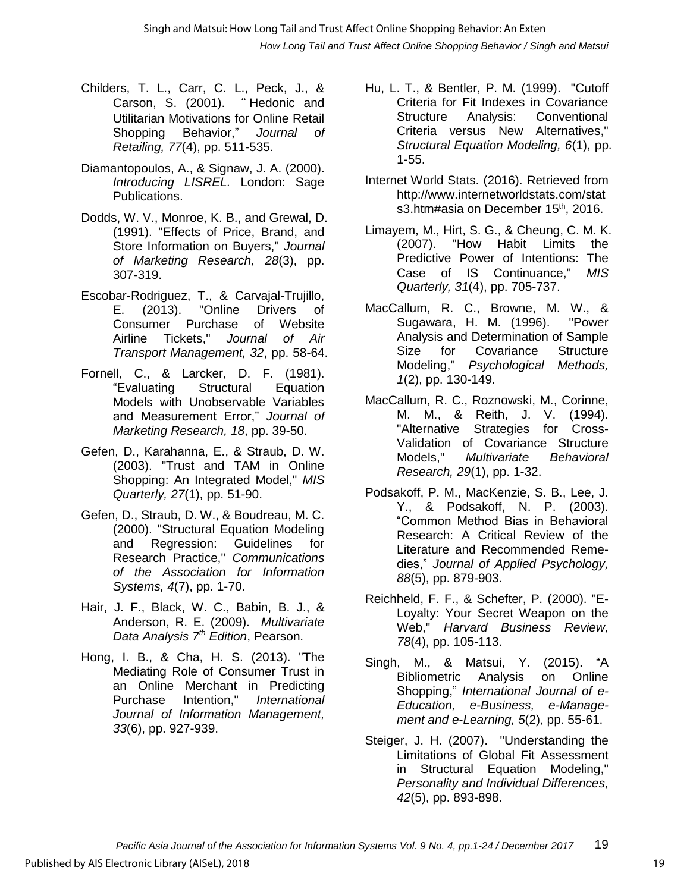*How Long Tail and Trust Affect Online Shopping Behavior / Singh and Matsui* Singh and Matsui: How Long Tail and Trust Affect Online Shopping Behavior: An Exten

- Childers, T. L., Carr, C. L., Peck, J., & Carson, S. (2001). " Hedonic and Utilitarian Motivations for Online Retail Shopping Behavior," *Journal of Retailing, 77*(4), pp. 511-535.
- Diamantopoulos, A., & Signaw, J. A. (2000). *Introducing LISREL.* London: Sage Publications.
- Dodds, W. V., Monroe, K. B., and Grewal, D. (1991). "Effects of Price, Brand, and Store Information on Buyers," *Journal of Marketing Research, 28*(3), pp. 307-319.
- Escobar-Rodriguez, T., & Carvajal-Trujillo, E. (2013). "Online Drivers of Consumer Purchase of Website Airline Tickets," *Journal of Air Transport Management, 32*, pp. 58-64.
- Fornell, C., & Larcker, D. F. (1981). "Evaluating Structural Equation Models with Unobservable Variables and Measurement Error," *Journal of Marketing Research, 18*, pp. 39-50.
- Gefen, D., Karahanna, E., & Straub, D. W. (2003). "Trust and TAM in Online Shopping: An Integrated Model," *MIS Quarterly, 27*(1), pp. 51-90.
- Gefen, D., Straub, D. W., & Boudreau, M. C. (2000). "Structural Equation Modeling and Regression: Guidelines for Research Practice," *Communications of the Association for Information Systems, 4*(7), pp. 1-70.
- Hair, J. F., Black, W. C., Babin, B. J., & Anderson, R. E. (2009). *Multivariate Data Analysis 7th Edition*, Pearson.
- Hong, I. B., & Cha, H. S. (2013). "The Mediating Role of Consumer Trust in an Online Merchant in Predicting Purchase Intention," *International Journal of Information Management, 33*(6), pp. 927-939.
- Hu, L. T., & Bentler, P. M. (1999). "Cutoff Criteria for Fit Indexes in Covariance Structure Analysis: Conventional Criteria versus New Alternatives," *Structural Equation Modeling, 6*(1), pp. 1-55.
- Internet World Stats. (2016). Retrieved from http://www.internetworldstats.com/stat s3.htm#asia on December 15<sup>th</sup>, 2016.
- Limayem, M., Hirt, S. G., & Cheung, C. M. K. (2007). "How Habit Limits the Predictive Power of Intentions: The Case of IS Continuance," *MIS Quarterly, 31*(4), pp. 705-737.
- MacCallum, R. C., Browne, M. W., & Sugawara, H. M. (1996). "Power Analysis and Determination of Sample Size for Covariance Structure Modeling," *Psychological Methods, 1*(2), pp. 130-149.
- MacCallum, R. C., Roznowski, M., Corinne, M. M., & Reith, J. V. (1994). "Alternative Strategies for Cross-Validation of Covariance Structure Models," *Multivariate Behavioral Research, 29*(1), pp. 1-32.
- Podsakoff, P. M., MacKenzie, S. B., Lee, J. Y., & Podsakoff, N. P. (2003). "Common Method Bias in Behavioral Research: A Critical Review of the Literature and Recommended Remedies," *Journal of Applied Psychology, 88*(5), pp. 879-903.
- Reichheld, F. F., & Schefter, P. (2000). "E-Loyalty: Your Secret Weapon on the Web," *Harvard Business Review, 78*(4), pp. 105-113.
- Singh, M., & Matsui, Y. (2015). "A Bibliometric Analysis on Online Shopping," *International Journal of e-Education, e-Business, e-Management and e-Learning, 5*(2), pp. 55-61.
- Steiger, J. H. (2007). "Understanding the Limitations of Global Fit Assessment in Structural Equation Modeling," *Personality and Individual Differences, 42*(5), pp. 893-898.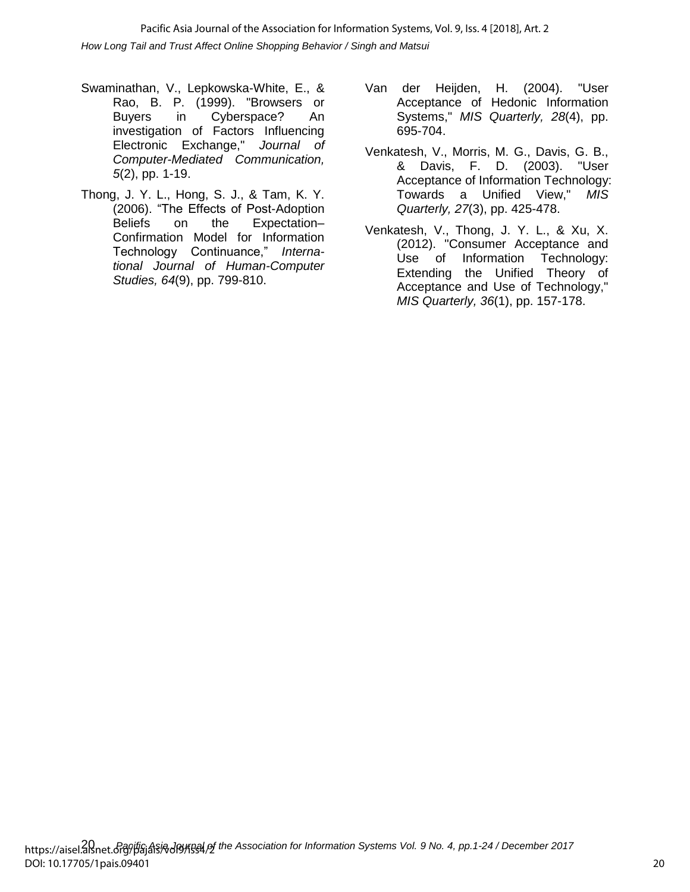*How Long Tail and Trust Affect Online Shopping Behavior / Singh and Matsui* Pacific Asia Journal of the Association for Information Systems, Vol. 9, Iss. 4 [2018], Art. 2

- Swaminathan, V., Lepkowska-White, E., & Rao, B. P. (1999). "Browsers or Buyers in Cyberspace? An investigation of Factors Influencing Electronic Exchange," *Journal of Computer-Mediated Communication, 5*(2), pp. 1-19.
- Thong, J. Y. L., Hong, S. J., & Tam, K. Y. (2006). "The Effects of Post-Adoption Beliefs on the Expectation– Confirmation Model for Information Technology Continuance," *International Journal of Human-Computer Studies, 64*(9), pp. 799-810.
- Van der Heijden, H. (2004). "User Acceptance of Hedonic Information Systems," *MIS Quarterly, 28*(4), pp. 695-704.
- Venkatesh, V., Morris, M. G., Davis, G. B., & Davis, F. D. (2003). "User Acceptance of Information Technology: Towards a Unified View," *MIS Quarterly, 27*(3), pp. 425-478.
- Venkatesh, V., Thong, J. Y. L., & Xu, X. (2012). "Consumer Acceptance and Use of Information Technology: Extending the Unified Theory of Acceptance and Use of Technology," *MIS Quarterly, 36*(1), pp. 157-178.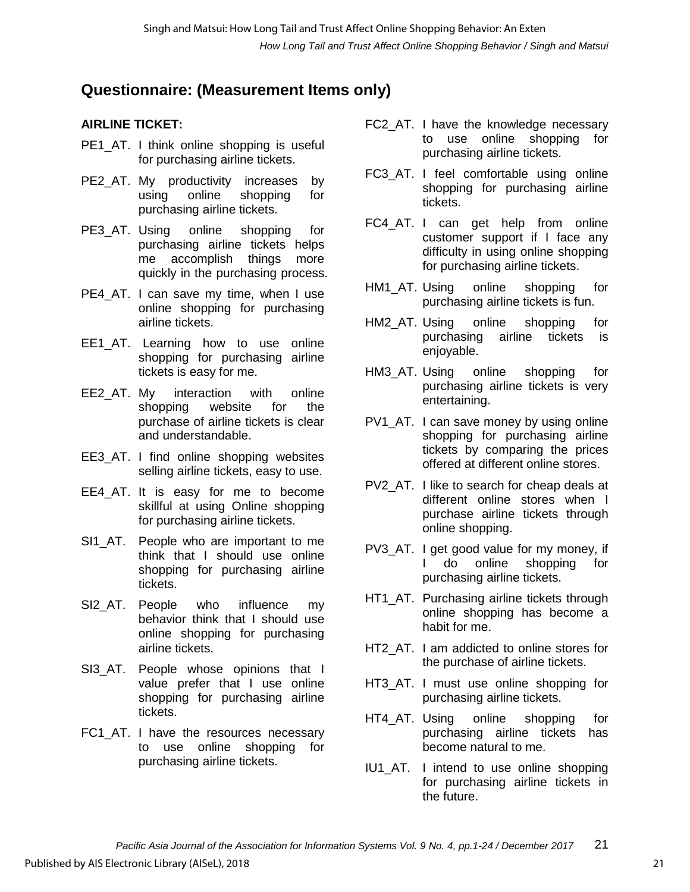# **Questionnaire: (Measurement Items only)**

### **AIRLINE TICKET:**

- PE1 AT. I think online shopping is useful for purchasing airline tickets.
- PE2 AT. My productivity increases by using online shopping for purchasing airline tickets.
- PE3 AT. Using online shopping for purchasing airline tickets helps me accomplish things more quickly in the purchasing process.
- PE4 AT. I can save my time, when I use online shopping for purchasing airline tickets.
- EE1\_AT. Learning how to use online shopping for purchasing airline tickets is easy for me.
- EE2 AT. My interaction with online shopping website for the purchase of airline tickets is clear and understandable.
- EE3 AT. I find online shopping websites selling airline tickets, easy to use.
- EE4 AT. It is easy for me to become skillful at using Online shopping for purchasing airline tickets.
- SI1 AT. People who are important to me think that I should use online shopping for purchasing airline tickets.
- SI2\_AT. People who influence my behavior think that I should use online shopping for purchasing airline tickets.
- SI3 AT. People whose opinions that I value prefer that I use online shopping for purchasing airline tickets.
- FC1 AT. I have the resources necessary to use online shopping for purchasing airline tickets.
- FC2 AT. I have the knowledge necessary to use online shopping for purchasing airline tickets.
- FC3 AT. I feel comfortable using online shopping for purchasing airline tickets.
- FC4\_AT. I can get help from online customer support if I face any difficulty in using online shopping for purchasing airline tickets.
- HM1 AT. Using online shopping for purchasing airline tickets is fun.
- HM2\_AT. Using online shopping for purchasing airline tickets is enjoyable.
- HM3\_AT. Using online shopping for purchasing airline tickets is very entertaining.
- PV1 AT. I can save money by using online shopping for purchasing airline tickets by comparing the prices offered at different online stores.
- PV2, AT. I like to search for cheap deals at different online stores when I purchase airline tickets through online shopping.
- PV3 AT. I get good value for my money, if I do online shopping for purchasing airline tickets.
- HT1\_AT. Purchasing airline tickets through online shopping has become a habit for me.
- HT2 AT. I am addicted to online stores for the purchase of airline tickets.
- HT3\_AT. I must use online shopping for purchasing airline tickets.
- HT4\_AT. Using online shopping for purchasing airline tickets has become natural to me.
- IU1\_AT. I intend to use online shopping for purchasing airline tickets in the future.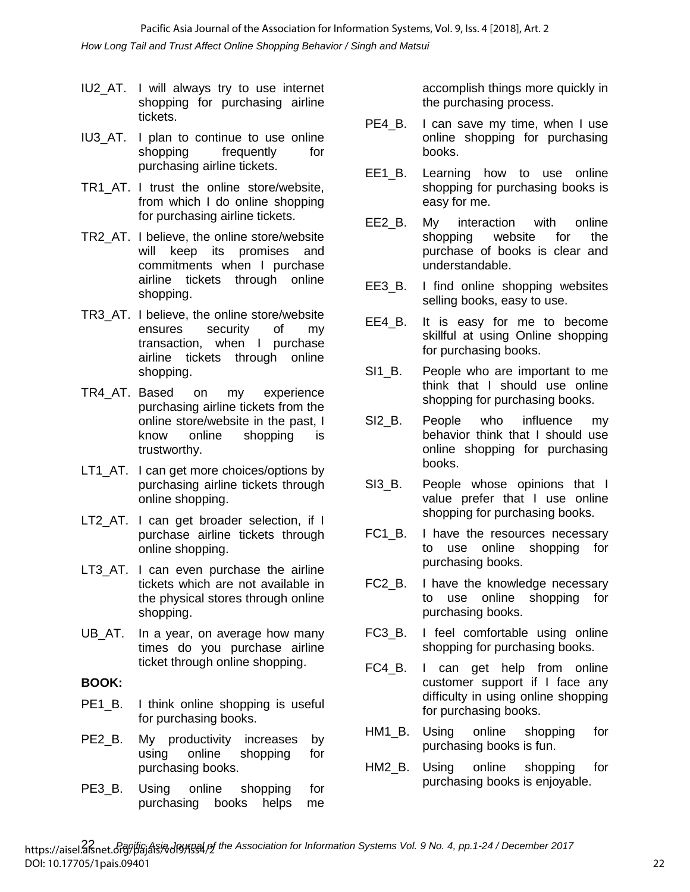*How Long Tail and Trust Affect Online Shopping Behavior / Singh and Matsui* Pacific Asia Journal of the Association for Information Systems, Vol. 9, Iss. 4 [2018], Art. 2

- IU2\_AT. I will always try to use internet shopping for purchasing airline tickets.
- IU3\_AT. I plan to continue to use online shopping frequently for purchasing airline tickets.
- TR1\_AT. I trust the online store/website, from which I do online shopping for purchasing airline tickets.
- TR2\_AT. I believe, the online store/website will keep its promises and commitments when I purchase airline tickets through online shopping.
- TR3\_AT. I believe, the online store/website ensures security of my transaction, when I purchase airline tickets through online shopping.
- TR4\_AT. Based on my experience purchasing airline tickets from the online store/website in the past, I know online shopping is trustworthy.
- LT1\_AT. I can get more choices/options by purchasing airline tickets through online shopping.
- LT2 AT. I can get broader selection, if I purchase airline tickets through online shopping.
- LT3\_AT. I can even purchase the airline tickets which are not available in the physical stores through online shopping.
- UB\_AT. In a year, on average how many times do you purchase airline ticket through online shopping.

#### **BOOK:**

- PE1\_B. I think online shopping is useful for purchasing books.
- PE2 B. My productivity increases by using online shopping for purchasing books.
- PE3 B. Using online shopping for purchasing books helps me

accomplish things more quickly in the purchasing process.

- PE4\_B. I can save my time, when I use online shopping for purchasing books.
- EE1\_B. Learning how to use online shopping for purchasing books is easy for me.
- EE2\_B. My interaction with online shopping website for the purchase of books is clear and understandable.
- EE3 B. I find online shopping websites selling books, easy to use.
- EE4\_B. It is easy for me to become skillful at using Online shopping for purchasing books.
- SI1 B. People who are important to me think that I should use online shopping for purchasing books.
- SI2 B. People who influence my behavior think that I should use online shopping for purchasing books.
- SI3 B. People whose opinions that I value prefer that I use online shopping for purchasing books.
- FC1 B. I have the resources necessary to use online shopping for purchasing books.
- FC2\_B. I have the knowledge necessary to use online shopping for purchasing books.
- FC3 B. I feel comfortable using online shopping for purchasing books.
- FC4 B. I can get help from online customer support if I face any difficulty in using online shopping for purchasing books.
- HM1 B. Using online shopping for purchasing books is fun.
- HM2\_B. Using online shopping for purchasing books is enjoyable.